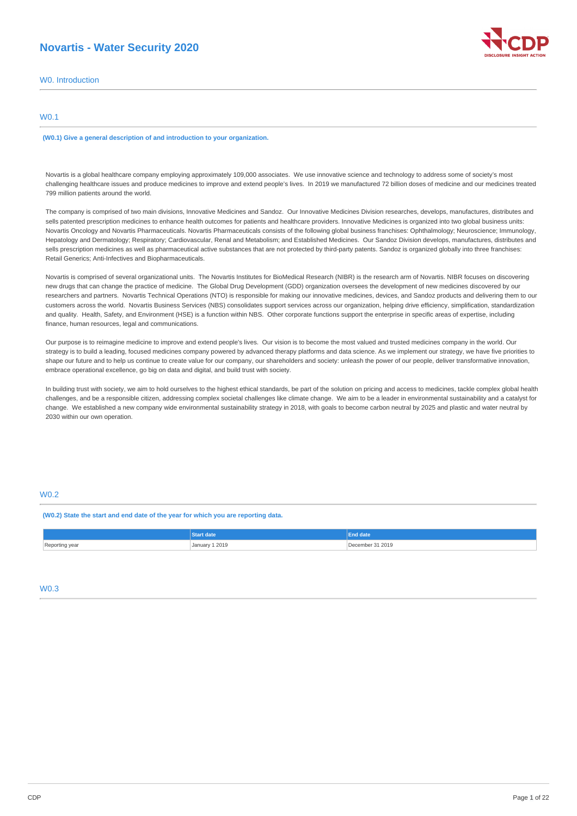# **Novartis - Water Security 2020**

|  | W0. Introduction |
|--|------------------|
|  |                  |

## W0.1

**(W0.1) Give a general description of and introduction to your organization.**

Novartis is a global healthcare company employing approximately 109,000 associates. We use innovative science and technology to address some of society's most challenging healthcare issues and produce medicines to improve and extend people's lives. In 2019 we manufactured 72 billion doses of medicine and our medicines treated 799 million patients around the world.

The company is comprised of two main divisions, Innovative Medicines and Sandoz. Our Innovative Medicines Division researches, develops, manufactures, distributes and sells patented prescription medicines to enhance health outcomes for patients and healthcare providers. Innovative Medicines is organized into two global business units: Novartis Oncology and Novartis Pharmaceuticals. Novartis Pharmaceuticals consists of the following global business franchises: Ophthalmology; Neuroscience; Immunology, Hepatology and Dermatology; Respiratory; Cardiovascular, Renal and Metabolism; and Established Medicines. Our Sandoz Division develops, manufactures, distributes and sells prescription medicines as well as pharmaceutical active substances that are not protected by third-party patents. Sandoz is organized globally into three franchises: Retail Generics; Anti-Infectives and Biopharmaceuticals.

Novartis is comprised of several organizational units. The Novartis Institutes for BioMedical Research (NIBR) is the research arm of Novartis. NIBR focuses on discovering new drugs that can change the practice of medicine. The Global Drug Development (GDD) organization oversees the development of new medicines discovered by our researchers and partners. Novartis Technical Operations (NTO) is responsible for making our innovative medicines, devices, and Sandoz products and delivering them to our customers across the world. Novartis Business Services (NBS) consolidates support services across our organization, helping drive efficiency, simplification, standardization and quality. Health, Safety, and Environment (HSE) is a function within NBS. Other corporate functions support the enterprise in specific areas of expertise, including finance, human resources, legal and communications.

Our purpose is to reimagine medicine to improve and extend people's lives. Our vision is to become the most valued and trusted medicines company in the world. Our strategy is to build a leading, focused medicines company powered by advanced therapy platforms and data science. As we implement our strategy, we have five priorities to shape our future and to help us continue to create value for our company, our shareholders and society: unleash the power of our people, deliver transformative innovation, embrace operational excellence, go big on data and digital, and build trust with society.

In building trust with society, we aim to hold ourselves to the highest ethical standards, be part of the solution on pricing and access to medicines, tackle complex global health challenges, and be a responsible citizen, addressing complex societal challenges like climate change. We aim to be a leader in environmental sustainability and a catalyst for change. We established a new company wide environmental sustainability strategy in 2018, with goals to become carbon neutral by 2025 and plastic and water neutral by 2030 within our own operation.

# W0.2

**(W0.2) State the start and end date of the year for which you are reporting data.**

|                       |                | <b>End date</b>  |
|-----------------------|----------------|------------------|
| Reporting year<br>נים | January 1 2019 | December 31 2019 |

# $W<sub>0</sub>$

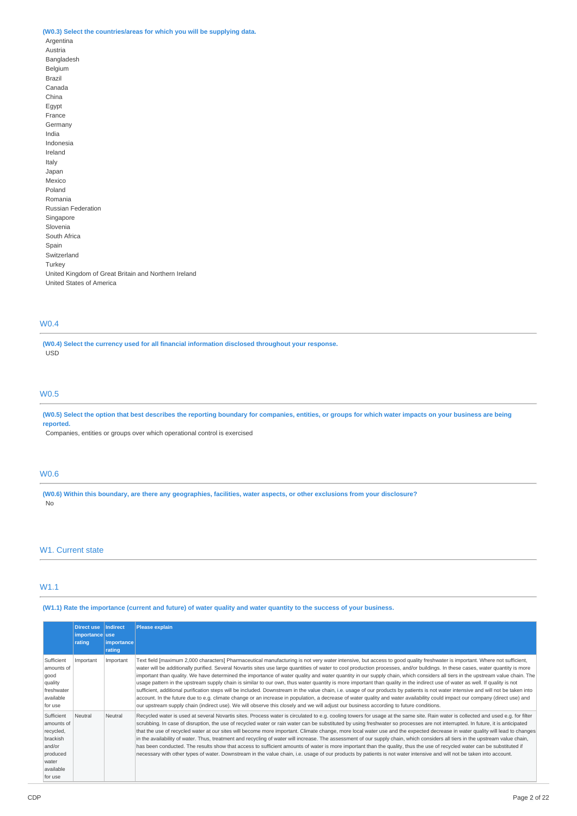## **(W0.3) Select the countries/areas for which you will be supplying data.**

Argentina Austria Bangladesh Belgium Brazil Canada China Egypt France Germany India Indonesia Ireland Italy Japan Mexico Poland Romania Russian Federation Singapore Slovenia South Africa Spain Switzerland Turkey United Kingdom of Great Britain and Northern Ireland United States of America

# W0.4

**(W0.4) Select the currency used for all financial information disclosed throughout your response.** USD

### W0.5

(W0.5) Select the option that best describes the reporting boundary for companies, entities, or groups for which water impacts on your business are being **reported.**

Companies, entities or groups over which operational control is exercised

# W0.6

(W0.6) Within this boundary, are there any geographies, facilities, water aspects, or other exclusions from your disclosure? No

## W<sub>1</sub>. Current state

## W1.1

### (W1.1) Rate the importance (current and future) of water quality and water quantity to the success of your business.

|                                                                                                          | <b>Direct use</b><br>importance use<br>rating | <b>Indirect</b><br>importance<br>rating | <b>Please explain</b>                                                                                                                                                                                                                                                                                                                                                                                                                                                                                                                                                                                                                                                                                                                                                                                                                                                                                                                                                                                                                                                                                                                                                                                                                           |
|----------------------------------------------------------------------------------------------------------|-----------------------------------------------|-----------------------------------------|-------------------------------------------------------------------------------------------------------------------------------------------------------------------------------------------------------------------------------------------------------------------------------------------------------------------------------------------------------------------------------------------------------------------------------------------------------------------------------------------------------------------------------------------------------------------------------------------------------------------------------------------------------------------------------------------------------------------------------------------------------------------------------------------------------------------------------------------------------------------------------------------------------------------------------------------------------------------------------------------------------------------------------------------------------------------------------------------------------------------------------------------------------------------------------------------------------------------------------------------------|
| Sufficient<br>amounts of<br>good<br>quality<br>freshwater<br>available<br>for use                        | Important                                     | Important                               | Text field [maximum 2,000 characters] Pharmaceutical manufacturing is not very water intensive, but access to good quality freshwater is important. Where not sufficient,<br>water will be additionally purified. Several Novartis sites use large quantities of water to cool production processes, and/or buildings. In these cases, water quantity is more<br>important than quality. We have determined the importance of water quality and water quantity in our supply chain, which considers all tiers in the upstream value chain. The<br>usage pattern in the upstream supply chain is similar to our own, thus water quantity is more important than quality in the indirect use of water as well. If quality is not<br>sufficient, additional purification steps will be included. Downstream in the value chain, i.e. usage of our products by patients is not water intensive and will not be taken into<br>account. In the future due to e.g. climate change or an increase in population, a decrease of water quality and water availability could impact our company (direct use) and<br>our upstream supply chain (indirect use). We will observe this closely and we will adjust our business according to future conditions. |
| Sufficient<br>amounts of<br>recycled,<br>brackish<br>and/or<br>produced<br>water<br>available<br>for use | Neutral                                       | Neutral                                 | Recycled water is used at several Novartis sites. Process water is circulated to e.g. cooling towers for usage at the same site. Rain water is collected and used e.g. for filter<br>scrubbing. In case of disruption, the use of recycled water or rain water can be substituted by using freshwater so processes are not interrupted. In future, it is anticipated<br>that the use of recycled water at our sites will become more important. Climate change, more local water use and the expected decrease in water quality will lead to changes<br>in the availability of water. Thus, treatment and recycling of water will increase. The assessment of our supply chain, which considers all tiers in the upstream value chain,<br>has been conducted. The results show that access to sufficient amounts of water is more important than the quality, thus the use of recycled water can be substituted if<br>necessary with other types of water. Downstream in the value chain, i.e. usage of our products by patients is not water intensive and will not be taken into account.                                                                                                                                                     |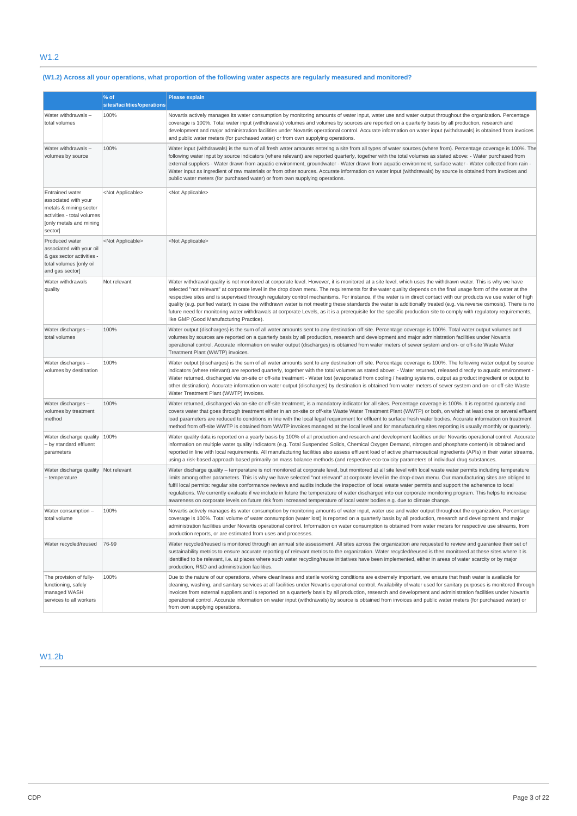# W1.2

# (W1.2) Across all your operations, what proportion of the following water aspects are regularly measured and monitored?

|                                                                                                                                              | % of                        | <b>Please explain</b>                                                                                                                                                                                                                                                                                                                                                                                                                                                                                                                                                                                                                                                                                                                                                                                                                                                                   |
|----------------------------------------------------------------------------------------------------------------------------------------------|-----------------------------|-----------------------------------------------------------------------------------------------------------------------------------------------------------------------------------------------------------------------------------------------------------------------------------------------------------------------------------------------------------------------------------------------------------------------------------------------------------------------------------------------------------------------------------------------------------------------------------------------------------------------------------------------------------------------------------------------------------------------------------------------------------------------------------------------------------------------------------------------------------------------------------------|
|                                                                                                                                              | sites/facilities/operations |                                                                                                                                                                                                                                                                                                                                                                                                                                                                                                                                                                                                                                                                                                                                                                                                                                                                                         |
| Water withdrawals-<br>total volumes                                                                                                          | 100%                        | Novartis actively manages its water consumption by monitoring amounts of water input, water use and water output throughout the organization. Percentage<br>coverage is 100%. Total water input (withdrawals) volumes and volumes by sources are reported on a quarterly basis by all production, research and<br>development and major administration facilities under Novartis operational control. Accurate information on water input (withdrawals) is obtained from invoices<br>and public water meters (for purchased water) or from own supplying operations.                                                                                                                                                                                                                                                                                                                    |
| Water withdrawals-<br>volumes by source                                                                                                      | 100%                        | Water input (withdrawals) is the sum of all fresh water amounts entering a site from all types of water sources (where from). Percentage coverage is 100%. The<br>following water input by source indicators (where relevant) are reported quarterly, together with the total volumes as stated above: - Water purchased from<br>external suppliers - Water drawn from aquatic environment, groundwater - Water drawn from aquatic environment, surface water - Water collected from rain -<br>Water input as ingredient of raw materials or from other sources. Accurate information on water input (withdrawals) by source is obtained from invoices and<br>public water meters (for purchased water) or from own supplying operations.                                                                                                                                               |
| <b>Entrained water</b><br>associated with your<br>metals & mining sector<br>activities - total volumes<br>[only metals and mining<br>sector] | <not applicable=""></not>   | <not applicable=""></not>                                                                                                                                                                                                                                                                                                                                                                                                                                                                                                                                                                                                                                                                                                                                                                                                                                                               |
| Produced water<br>associated with your oil<br>& gas sector activities -<br>total volumes [only oil<br>and gas sector]                        | <not applicable=""></not>   | <not applicable=""></not>                                                                                                                                                                                                                                                                                                                                                                                                                                                                                                                                                                                                                                                                                                                                                                                                                                                               |
| Water withdrawals<br>quality                                                                                                                 | Not relevant                | Water withdrawal quality is not monitored at corporate level. However, it is monitored at a site level, which uses the withdrawn water. This is why we have<br>selected "not relevant" at corporate level in the drop down menu. The requirements for the water quality depends on the final usage form of the water at the<br>respective sites and is supervised through regulatory control mechanisms. For instance, if the water is in direct contact with our products we use water of high<br>quality (e.g. purified water); in case the withdrawn water is not meeting these standards the water is additionally treated (e.g. via reverse osmosis). There is no<br>future need for monitoring water withdrawals at corporate Levels, as it is a prerequisite for the specific production site to comply with regulatory requirements,<br>like GMP (Good Manufacturing Practice). |
| Water discharges -<br>total volumes                                                                                                          | 100%                        | Water output (discharges) is the sum of all water amounts sent to any destination off site. Percentage coverage is 100%. Total water output volumes and<br>volumes by sources are reported on a quarterly basis by all production, research and development and major administration facilities under Novartis<br>operational control. Accurate information on water output (discharges) is obtained from water meters of sewer system and on- or off-site Waste Water<br>Treatment Plant (WWTP) invoices.                                                                                                                                                                                                                                                                                                                                                                              |
| Water discharges -<br>volumes by destination                                                                                                 | 100%                        | Water output (discharges) is the sum of all water amounts sent to any destination off site. Percentage coverage is 100%. The following water output by source<br>indicators (where relevant) are reported quarterly, together with the total volumes as stated above: - Water returned, released directly to aquatic environment -<br>Water returned, discharged via on-site or off-site treatment - Water lost (evaporated from cooling / heating systems, output as product ingredient or output to<br>other destination). Accurate information on water output (discharges) by destination is obtained from water meters of sewer system and on- or off-site Waste<br>Water Treatment Plant (WWTP) invoices.                                                                                                                                                                         |
| Water discharges -<br>volumes by treatment<br>method                                                                                         | 100%                        | Water returned, discharged via on-site or off-site treatment, is a mandatory indicator for all sites. Percentage coverage is 100%. It is reported quarterly and<br>covers water that goes through treatment either in an on-site or off-site Waste Water Treatment Plant (WWTP) or both, on which at least one or several effluent<br>load parameters are reduced to conditions in line with the local legal requirement for effluent to surface fresh water bodies. Accurate information on treatment<br>method from off-site WWTP is obtained from WWTP invoices managed at the local level and for manufacturing sites reporting is usually monthly or quarterly.                                                                                                                                                                                                                    |
| Water discharge quality   100%<br>- by standard effluent<br>parameters                                                                       |                             | Water quality data is reported on a yearly basis by 100% of all production and research and development facilities under Novartis operational control. Accurate<br>information on multiple water quality indicators (e.g. Total Suspended Solids, Chemical Oxygen Demand, nitrogen and phosphate content) is obtained and<br>reported in line with local requirements. All manufacturing facilities also assess effluent load of active pharmaceutical ingredients (APIs) in their water streams,<br>using a risk-based approach based primarily on mass balance methods (and respective eco-toxicity parameters of individual drug substances.                                                                                                                                                                                                                                         |
| Water discharge quality Not relevant<br>- temperature                                                                                        |                             | Water discharge quality - temperature is not monitored at corporate level, but monitored at all site level with local waste water permits including temperature<br>limits among other parameters. This is why we have selected "not relevant" at corporate level in the drop-down menu. Our manufacturing sites are obliged to<br>fulfil local permits: regular site conformance reviews and audits include the inspection of local waste water permits and support the adherence to local<br>regulations. We currently evaluate if we include in future the temperature of water discharged into our corporate monitoring program. This helps to increase<br>awareness on corporate levels on future risk from increased temperature of local water bodies e.q. due to climate change.                                                                                                 |
| Water consumption -<br>total volume                                                                                                          | 100%                        | Novartis actively manages its water consumption by monitoring amounts of water input, water use and water output throughout the organization. Percentage<br>coverage is 100%. Total volume of water consumption (water lost) is reported on a quarterly basis by all production, research and development and major<br>administration facilities under Novartis operational control. Information on water consumption is obtained from water meters for respective use streams, from<br>production reports, or are estimated from uses and processes.                                                                                                                                                                                                                                                                                                                                   |
| Water recycled/reused                                                                                                                        | 76-99                       | Water recycled/reused is monitored through an annual site assessment. All sites across the organization are requested to review and quarantee their set of<br>sustainability metrics to ensure accurate reporting of relevant metrics to the organization. Water recycled/reused is then monitored at these sites where it is<br>identified to be relevant, i.e. at places where such water recycling/reuse initiatives have been implemented, either in areas of water scarcity or by major<br>production, R&D and administration facilities.                                                                                                                                                                                                                                                                                                                                          |
| The provision of fully-<br>functioning, safely<br>managed WASH<br>services to all workers                                                    | 100%                        | Due to the nature of our operations, where cleanliness and sterile working conditions are extremely important, we ensure that fresh water is available for<br>cleaning, washing, and sanitary services at all facilities under Novartis operational control. Availability of water used for sanitary purposes is monitored through<br>invoices from external suppliers and is reported on a quarterly basis by all production, research and development and administration facilities under Novartis<br>operational control. Accurate information on water input (withdrawals) by source is obtained from invoices and public water meters (for purchased water) or<br>from own supplying operations.                                                                                                                                                                                   |

# W1.2b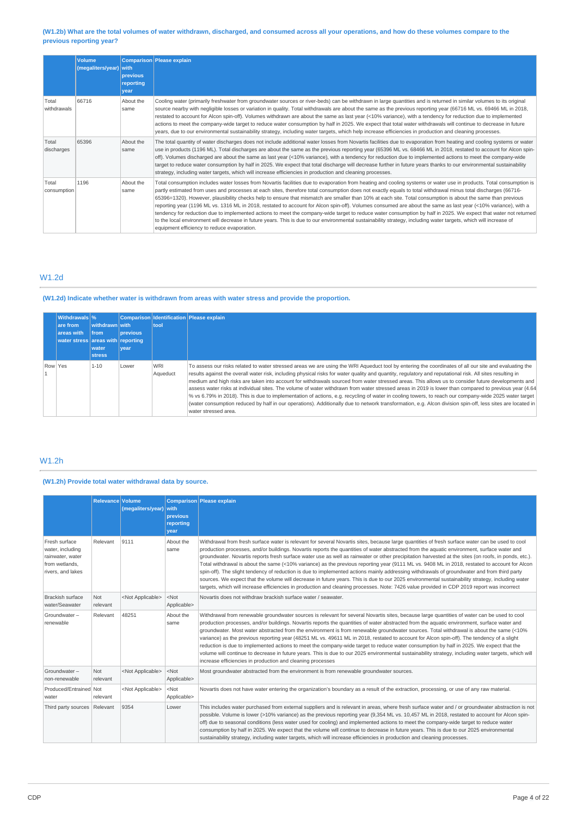## (W1.2b) What are the total volumes of water withdrawn, discharged, and consumed across all your operations, and how do these volumes compare to the **previous reporting year?**

|                      | <b>Volume</b><br>(megaliters/year) with | previous<br>reporting<br>vear | Comparison Please explain                                                                                                                                                                                                                                                                                                                                                                                                                                                                                                                                                                                                                                                                                                                                                                                                                                                                                                                                                                                                                                      |
|----------------------|-----------------------------------------|-------------------------------|----------------------------------------------------------------------------------------------------------------------------------------------------------------------------------------------------------------------------------------------------------------------------------------------------------------------------------------------------------------------------------------------------------------------------------------------------------------------------------------------------------------------------------------------------------------------------------------------------------------------------------------------------------------------------------------------------------------------------------------------------------------------------------------------------------------------------------------------------------------------------------------------------------------------------------------------------------------------------------------------------------------------------------------------------------------|
| Total<br>withdrawals | 66716                                   | About the<br>same             | Cooling water (primarily freshwater from groundwater sources or river-beds) can be withdrawn in large quantities and is returned in similar volumes to its original<br>source nearby with negligible losses or variation in guality. Total withdrawals are about the same as the previous reporting year (66716 ML vs. 69466 ML in 2018,<br>restated to account for Alcon spin-off). Volumes withdrawn are about the same as last year (<10% variance), with a tendency for reduction due to implemented<br>actions to meet the company-wide target to reduce water consumption by half in 2025. We expect that total water withdrawals will continue to decrease in future<br>years, due to our environmental sustainability strategy, including water targets, which help increase efficiencies in production and cleaning processes.                                                                                                                                                                                                                        |
| Total<br>discharges  | 65396                                   | About the<br>same             | The total quantity of water discharges does not include additional water losses from Novartis facilities due to evaporation from heating and cooling systems or water<br>use in products (1196 ML). Total discharges are about the same as the previous reporting year (65396 ML vs. 68466 ML in 2018, restated to account for Alcon spin-<br>off). Volumes discharged are about the same as last year (<10% variance), with a tendency for reduction due to implemented actions to meet the company-wide<br>target to reduce water consumption by half in 2025. We expect that total discharge will decrease further in future years thanks to our environmental sustainability<br>strategy, including water targets, which will increase efficiencies in production and cleaning processes.                                                                                                                                                                                                                                                                  |
| Total<br>consumption | 1196                                    | About the<br>same             | Total consumption includes water losses from Novartis facilities due to evaporation from heating and cooling systems or water use in products. Total consumption is<br>partly estimated from uses and processes at each sites, therefore total consumption does not exactly equals to total withdrawal minus total discharges (66716-<br>65396=1320). However, plausibility checks help to ensure that mismatch are smaller than 10% at each site. Total consumption is about the same than previous<br>reporting year (1196 ML vs. 1316 ML in 2018, restated to account for Alcon spin-off). Volumes consumed are about the same as last year (<10% variance), with a<br>tendency for reduction due to implemented actions to meet the company-wide target to reduce water consumption by half in 2025. We expect that water not returned<br>to the local environment will decrease in future years. This is due to our environmental sustainability strategy, including water targets, which will increase of<br>equipment efficiency to reduce evaporation. |

# W1.2d

# **(W1.2d) Indicate whether water is withdrawn from areas with water stress and provide the proportion.**

|         | <b>Withdrawals</b> %<br>are from<br>areas with<br>water stress areas with reporting | withdrawn with<br><b>from</b><br>water<br><b>stress</b> | <b>previous</b><br><b>vear</b> | tool            | Comparison Identification Please explain                                                                                                                                                                                                                                                                                                                                                                                                                                                                                                                                                                                                                                                                                                                                                                                                                                                                                                                                          |
|---------|-------------------------------------------------------------------------------------|---------------------------------------------------------|--------------------------------|-----------------|-----------------------------------------------------------------------------------------------------------------------------------------------------------------------------------------------------------------------------------------------------------------------------------------------------------------------------------------------------------------------------------------------------------------------------------------------------------------------------------------------------------------------------------------------------------------------------------------------------------------------------------------------------------------------------------------------------------------------------------------------------------------------------------------------------------------------------------------------------------------------------------------------------------------------------------------------------------------------------------|
| Row Yes |                                                                                     | $1 - 10$                                                | Lower                          | WRI<br>Aqueduct | To assess our risks related to water stressed areas we are using the WRI Aqueduct tool by entering the coordinates of all our site and evaluating the<br>results against the overall water risk, including physical risks for water quality and quantity, regulatory and reputational risk. All sites resulting in<br>medium and high risks are taken into account for withdrawals sourced from water stressed areas. This allows us to consider future developments and<br>assess water risks at individual sites. The volume of water withdrawn from water stressed areas in 2019 is lower than compared to previous year (4.64)<br>% vs 6.79% in 2018). This is due to implementation of actions, e.g. recycling of water in cooling towers, to reach our company-wide 2025 water target<br>(water consumption reduced by half in our operations). Additionally due to network transformation, e.g. Alcon division spin-off, less sites are located in<br>water stressed area. |

# W1.2h

# **(W1.2h) Provide total water withdrawal data by source.**

|                                                                                              | <b>Relevance Volume</b> | (megaliters/year) with    | previous<br>reporting<br>year | Comparison Please explain                                                                                                                                                                                                                                                                                                                                                                                                                                                                                                                                                                                                                                                                                                                                                                                                                                                                                                                                                                                                                                |
|----------------------------------------------------------------------------------------------|-------------------------|---------------------------|-------------------------------|----------------------------------------------------------------------------------------------------------------------------------------------------------------------------------------------------------------------------------------------------------------------------------------------------------------------------------------------------------------------------------------------------------------------------------------------------------------------------------------------------------------------------------------------------------------------------------------------------------------------------------------------------------------------------------------------------------------------------------------------------------------------------------------------------------------------------------------------------------------------------------------------------------------------------------------------------------------------------------------------------------------------------------------------------------|
| Fresh surface<br>water, including<br>rainwater, water<br>from wetlands.<br>rivers, and lakes | Relevant                | 9111                      | About the<br>same             | Withdrawal from fresh surface water is relevant for several Novartis sites, because large quantities of fresh surface water can be used to cool<br>production processes, and/or buildings. Novartis reports the quantities of water abstracted from the aquatic environment, surface water and<br>groundwater. Novartis reports fresh surface water use as well as rainwater or other precipitation harvested at the sites (on roofs, in ponds, etc.).<br>Total withdrawal is about the same (<10% variance) as the previous reporting year (9111 ML vs. 9408 ML in 2018, restated to account for Alcon<br>spin-off). The slight tendency of reduction is due to implemented actions mainly addressing withdrawals of groundwater and from third party<br>sources. We expect that the volume will decrease in future years. This is due to our 2025 environmental sustainability strategy, including water<br>targets, which will increase efficiencies in production and cleaning processes. Note: 7426 value provided in CDP 2019 report was incorrect |
| Brackish surface<br>water/Seawater                                                           | Not<br>relevant         | <not applicable=""></not> | $<$ Not<br>Applicable>        | Novartis does not withdraw brackish surface water / seawater.                                                                                                                                                                                                                                                                                                                                                                                                                                                                                                                                                                                                                                                                                                                                                                                                                                                                                                                                                                                            |
| Groundwater-<br>renewable                                                                    | Relevant                | 48251                     | About the<br>same             | Withdrawal from renewable groundwater sources is relevant for several Novartis sites, because large quantities of water can be used to cool<br>production processes, and/or buildings. Novartis reports the quantities of water abstracted from the aquatic environment, surface water and<br>groundwater. Most water abstracted from the environment is from renewable groundwater sources. Total withdrawal is about the same (<10%<br>variance) as the previous reporting year (48251 ML vs. 49611 ML in 2018, restated to account for Alcon spin-off). The tendency of a slight<br>reduction is due to implemented actions to meet the company-wide target to reduce water consumption by half in 2025. We expect that the<br>volume will continue to decrease in future years. This is due to our 2025 environmental sustainability strategy, including water targets, which will<br>increase efficiencies in production and cleaning processes                                                                                                     |
| Groundwater-<br>non-renewable                                                                | Not<br>relevant         | <not applicable=""></not> | $<$ Not<br>Applicable>        | Most groundwater abstracted from the environment is from renewable groundwater sources.                                                                                                                                                                                                                                                                                                                                                                                                                                                                                                                                                                                                                                                                                                                                                                                                                                                                                                                                                                  |
| Produced/Entrained Not<br>water                                                              | relevant                | <not applicable=""></not> | $<$ Not<br>Applicable>        | Novartis does not have water entering the organization's boundary as a result of the extraction, processing, or use of any raw material.                                                                                                                                                                                                                                                                                                                                                                                                                                                                                                                                                                                                                                                                                                                                                                                                                                                                                                                 |
| Third party sources                                                                          | Relevant                | 9354                      | Lower                         | This includes water purchased from external suppliers and is relevant in areas, where fresh surface water and / or groundwater abstraction is not<br>possible. Volume is lower (>10% variance) as the previous reporting year (9,354 ML vs. 10,457 ML in 2018, restated to account for Alcon spin-<br>off) due to seasonal conditions (less water used for cooling) and implemented actions to meet the company-wide target to reduce water<br>consumption by half in 2025. We expect that the volume will continue to decrease in future years. This is due to our 2025 environmental<br>sustainability strategy, including water targets, which will increase efficiencies in production and cleaning processes.                                                                                                                                                                                                                                                                                                                                       |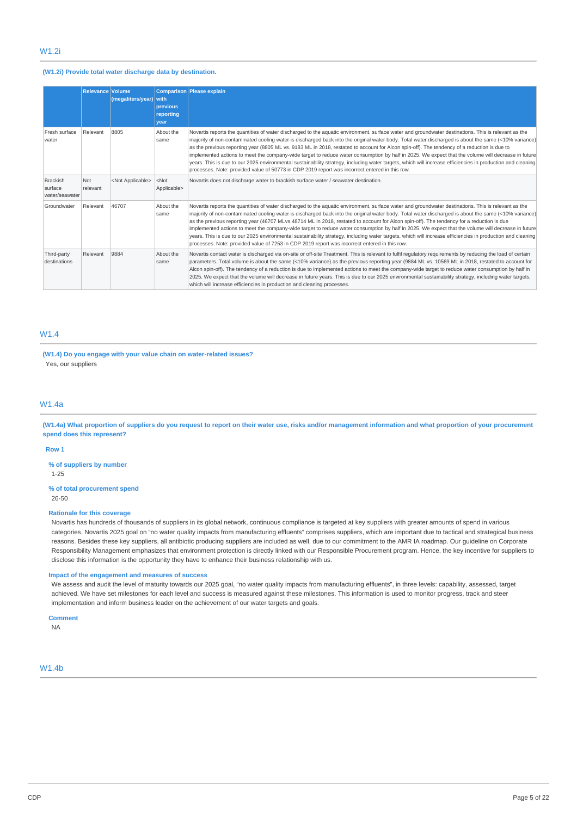## **(W1.2i) Provide total water discharge data by destination.**

|                                              | <b>Relevance Volume</b> | (megaliters/year) with    | <b>previous</b><br>reporting<br><b>year</b> | <b>Comparison Please explain</b>                                                                                                                                                                                                                                                                                                                                                                                                                                                                                                                                                                                                                                                                                                                                                                                                                                                 |
|----------------------------------------------|-------------------------|---------------------------|---------------------------------------------|----------------------------------------------------------------------------------------------------------------------------------------------------------------------------------------------------------------------------------------------------------------------------------------------------------------------------------------------------------------------------------------------------------------------------------------------------------------------------------------------------------------------------------------------------------------------------------------------------------------------------------------------------------------------------------------------------------------------------------------------------------------------------------------------------------------------------------------------------------------------------------|
| Fresh surface<br>water                       | Relevant                | 8805                      | About the<br>same                           | Novartis reports the quantities of water discharged to the aquatic environment, surface water and groundwater destinations. This is relevant as the<br>majority of non-contaminated cooling water is discharged back into the original water body. Total water discharged is about the same (<10% variance)<br>as the previous reporting year (8805 ML vs. 9183 ML in 2018, restated to account for Alcon spin-off). The tendency of a reduction is due to<br>implemented actions to meet the company-wide target to reduce water consumption by half in 2025. We expect that the volume will decrease in future<br>years. This is due to our 2025 environmental sustainability strategy, including water targets, which will increase efficiencies in production and cleaning<br>processes. Note: provided value of 50773 in CDP 2019 report was incorrect entered in this row. |
| <b>Brackish</b><br>surface<br>water/seawater | Not<br>relevant         | <not applicable=""></not> | $<$ Not<br>Applicable>                      | Novartis does not discharge water to brackish surface water / seawater destination.                                                                                                                                                                                                                                                                                                                                                                                                                                                                                                                                                                                                                                                                                                                                                                                              |
| Groundwater                                  | Relevant                | 46707                     | About the<br>same                           | Novartis reports the quantities of water discharged to the aquatic environment, surface water and groundwater destinations. This is relevant as the<br>majority of non-contaminated cooling water is discharged back into the original water body. Total water discharged is about the same (<10% variance)<br>as the previous reporting year (46707 MLvs.48714 ML in 2018, restated to account for Alcon spin-off). The tendency for a reduction is due<br>implemented actions to meet the company-wide target to reduce water consumption by half in 2025. We expect that the volume will decrease in future<br>years. This is due to our 2025 environmental sustainability strategy, including water targets, which will increase efficiencies in production and cleaning<br>processes. Note: provided value of 7253 in CDP 2019 report was incorrect entered in this row.    |
| Third-party<br>destinations                  | Relevant                | 9884                      | About the<br>same                           | Novartis contact water is discharged via on-site or off-site Treatment. This is relevant to fulfil regulatory requirements by reducing the load of certain<br>parameters. Total volume is about the same (<10% variance) as the previous reporting year (9884 ML vs. 10569 ML in 2018, restated to account for<br>Alcon spin-off). The tendency of a reduction is due to implemented actions to meet the company-wide target to reduce water consumption by half in<br>2025. We expect that the volume will decrease in future years. This is due to our 2025 environmental sustainability strategy, including water targets,<br>which will increase efficiencies in production and cleaning processes.                                                                                                                                                                          |

# W1.4

**(W1.4) Do you engage with your value chain on water-related issues?** Yes, our suppliers

#### W1.4a

(W1.4a) What proportion of suppliers do you request to report on their water use, risks and/or management information and what proportion of your procurement **spend does this represent?**

# **Row 1**

**% of suppliers by number**

1-25

#### **% of total procurement spend**

26-50

### **Rationale for this coverage**

Novartis has hundreds of thousands of suppliers in its global network, continuous compliance is targeted at key suppliers with greater amounts of spend in various categories. Novartis 2025 goal on "no water quality impacts from manufacturing effluents" comprises suppliers, which are important due to tactical and strategical business reasons. Besides these key suppliers, all antibiotic producing suppliers are included as well, due to our commitment to the AMR IA roadmap. Our guideline on Corporate Responsibility Management emphasizes that environment protection is directly linked with our Responsible Procurement program. Hence, the key incentive for suppliers to disclose this information is the opportunity they have to enhance their business relationship with us.

### **Impact of the engagement and measures of success**

We assess and audit the level of maturity towards our 2025 goal, "no water quality impacts from manufacturing effluents", in three levels: capability, assessed, target achieved. We have set milestones for each level and success is measured against these milestones. This information is used to monitor progress, track and steer implementation and inform business leader on the achievement of our water targets and goals.

## **Comment**

NA

W1.4b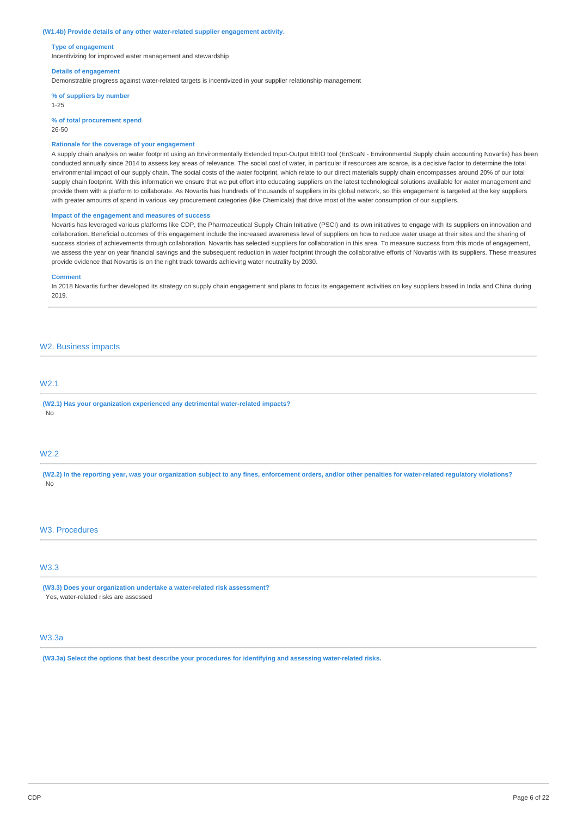#### **(W1.4b) Provide details of any other water-related supplier engagement activity.**

#### **Type of engagement**

Incentivizing for improved water management and stewardship

#### **Details of engagement**

Demonstrable progress against water-related targets is incentivized in your supplier relationship management

**% of suppliers by number**

1-25

**% of total procurement spend**

26-50

### **Rationale for the coverage of your engagement**

A supply chain analysis on water footprint using an Environmentally Extended Input-Output EEIO tool (EnScaN - Environmental Supply chain accounting Novartis) has been conducted annually since 2014 to assess key areas of relevance. The social cost of water, in particular if resources are scarce, is a decisive factor to determine the total environmental impact of our supply chain. The social costs of the water footprint, which relate to our direct materials supply chain encompasses around 20% of our total supply chain footprint. With this information we ensure that we put effort into educating suppliers on the latest technological solutions available for water management and provide them with a platform to collaborate. As Novartis has hundreds of thousands of suppliers in its global network, so this engagement is targeted at the key suppliers with greater amounts of spend in various key procurement categories (like Chemicals) that drive most of the water consumption of our suppliers.

#### **Impact of the engagement and measures of success**

Novartis has leveraged various platforms like CDP, the Pharmaceutical Supply Chain Initiative (PSCI) and its own initiatives to engage with its suppliers on innovation and collaboration. Beneficial outcomes of this engagement include the increased awareness level of suppliers on how to reduce water usage at their sites and the sharing of success stories of achievements through collaboration. Novartis has selected suppliers for collaboration in this area. To measure success from this mode of engagement, we assess the year on year financial savings and the subsequent reduction in water footprint through the collaborative efforts of Novartis with its suppliers. These measures provide evidence that Novartis is on the right track towards achieving water neutrality by 2030.

#### **Comment**

In 2018 Novartis further developed its strategy on supply chain engagement and plans to focus its engagement activities on key suppliers based in India and China during 2019.

## W2. Business impacts

# W2.1

**(W2.1) Has your organization experienced any detrimental water-related impacts?** No

## W2.2

(W2.2) In the reporting year, was your organization subject to any fines, enforcement orders, and/or other penalties for water-related regulatory violations? No

### W3. Procedures

# W3.3

**(W3.3) Does your organization undertake a water-related risk assessment?** Yes, water-related risks are assessed

## W3.3a

**(W3.3a) Select the options that best describe your procedures for identifying and assessing water-related risks.**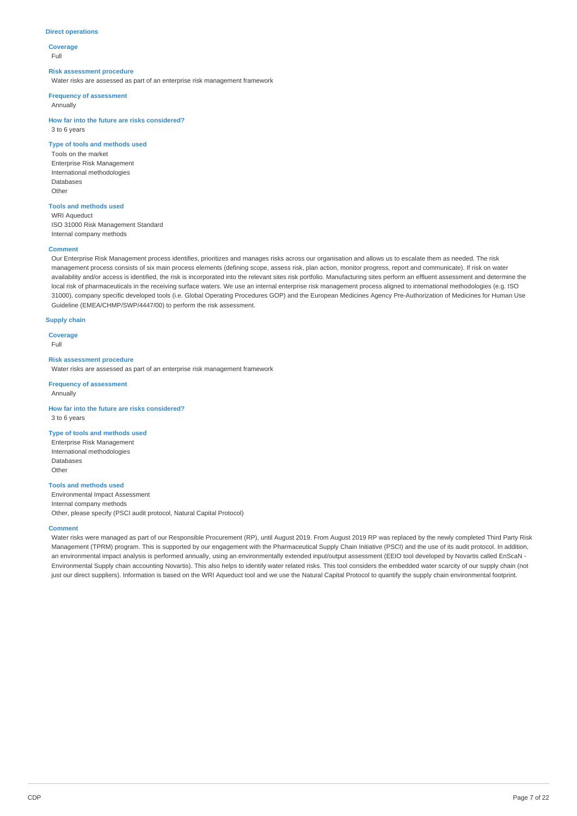### **Direct operations**

**Coverage** Full

#### **Risk assessment procedure**

Water risks are assessed as part of an enterprise risk management framework

#### **Frequency of assessment**

Annually

**How far into the future are risks considered?** 3 to 6 years

## **Type of tools and methods used**

Tools on the market Enterprise Risk Management International methodologies Databases **Other** 

# **Tools and methods used**

WRI Aqueduct ISO 31000 Risk Management Standard Internal company methods

#### **Comment**

Our Enterprise Risk Management process identifies, prioritizes and manages risks across our organisation and allows us to escalate them as needed. The risk management process consists of six main process elements (defining scope, assess risk, plan action, monitor progress, report and communicate). If risk on water availability and/or access is identified, the risk is incorporated into the relevant sites risk portfolio. Manufacturing sites perform an effluent assessment and determine the local risk of pharmaceuticals in the receiving surface waters. We use an internal enterprise risk management process aligned to international methodologies (e.g. ISO 31000), company specific developed tools (i.e. Global Operating Procedures GOP) and the European Medicines Agency Pre-Authorization of Medicines for Human Use Guideline (EMEA/CHMP/SWP/4447/00) to perform the risk assessment.

#### **Supply chain**

**Coverage**

Full

### **Risk assessment procedure**

Water risks are assessed as part of an enterprise risk management framework

### **Frequency of assessment**

Annually

#### **How far into the future are risks considered?** 3 to 6 years

#### **Type of tools and methods used**

Enterprise Risk Management International methodologies Databases Other

# **Tools and methods used**

Environmental Impact Assessment Internal company methods Other, please specify (PSCI audit protocol, Natural Capital Protocol)

#### **Comment**

Water risks were managed as part of our Responsible Procurement (RP), until August 2019. From August 2019 RP was replaced by the newly completed Third Party Risk Management (TPRM) program. This is supported by our engagement with the Pharmaceutical Supply Chain Initiative (PSCI) and the use of its audit protocol. In addition, an environmental impact analysis is performed annually, using an environmentally extended input/output assessment (EEIO tool developed by Novartis called EnScaN - Environmental Supply chain accounting Novartis). This also helps to identify water related risks. This tool considers the embedded water scarcity of our supply chain (not just our direct suppliers). Information is based on the WRI Aqueduct tool and we use the Natural Capital Protocol to quantify the supply chain environmental footprint.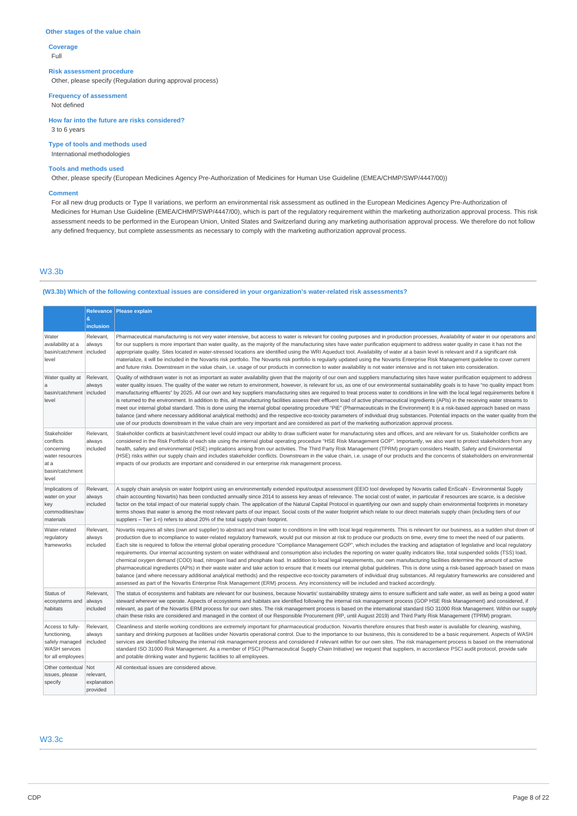#### **Other stages of the value chain**

**Coverage** Full

### **Risk assessment procedure**

Other, please specify (Regulation during approval process)

**Frequency of assessment**

Not defined

**How far into the future are risks considered?** 3 to 6 years

**Type of tools and methods used** International methodologies

### **Tools and methods used**

Other, please specify (European Medicines Agency Pre-Authorization of Medicines for Human Use Guideline (EMEA/CHMP/SWP/4447/00))

### **Comment**

For all new drug products or Type II variations, we perform an environmental risk assessment as outlined in the European Medicines Agency Pre-Authorization of Medicines for Human Use Guideline (EMEA/CHMP/SWP/4447/00), which is part of the regulatory requirement within the marketing authorization approval process. This risk assessment needs to be performed in the European Union, United States and Switzerland during any marketing authorisation approval process. We therefore do not follow any defined frequency, but complete assessments as necessary to comply with the marketing authorization approval process.

## W3.3b

# **(W3.3b) Which of the following contextual issues are considered in your organization's water-related risk assessments?**

|                                                                                                 | $\&$<br>inclusion                           | Relevance   Please explain                                                                                                                                                                                                                                                                                                                                                                                                                                                                                                                                                                                                                                                                                                                                                                                                                                                                                                                                                                                                                                                                                                                                                                                                                                                                                                                                                                                                                                             |
|-------------------------------------------------------------------------------------------------|---------------------------------------------|------------------------------------------------------------------------------------------------------------------------------------------------------------------------------------------------------------------------------------------------------------------------------------------------------------------------------------------------------------------------------------------------------------------------------------------------------------------------------------------------------------------------------------------------------------------------------------------------------------------------------------------------------------------------------------------------------------------------------------------------------------------------------------------------------------------------------------------------------------------------------------------------------------------------------------------------------------------------------------------------------------------------------------------------------------------------------------------------------------------------------------------------------------------------------------------------------------------------------------------------------------------------------------------------------------------------------------------------------------------------------------------------------------------------------------------------------------------------|
| Water<br>availability at a<br>basin/catchment<br>level                                          | Relevant,<br>always<br>included             | Pharmaceutical manufacturing is not very water intensive, but access to water is relevant for cooling purposes and in production processes, Availability of water in our operations and<br>for our suppliers is more important than water quality, as the majority of the manufacturing sites have water purification equipment to address water quality in case it has not the<br>appropriate quality. Sites located in water-stressed locations are identified using the WRI Aqueduct tool. Availability of water at a basin level is relevant and if a significant risk<br>materialize, it will be included in the Novartis risk portfolio. The Novartis risk portfolio is regularly updated using the Novartis Enterprise Risk Management guideline to cover current<br>and future risks. Downstream in the value chain, i.e. usage of our products in connection to water availability is not water intensive and is not taken into consideration.                                                                                                                                                                                                                                                                                                                                                                                                                                                                                                                |
| Water quality at<br>a<br>basin/catchment   included<br>level                                    | Relevant,<br>always                         | Quality of withdrawn water is not as important as water availability given that the majority of our own and suppliers manufacturing sites have water purification equipment to address<br>water quality issues. The quality of the water we return to environment, however, is relevant for us, as one of our environmental sustainability goals is to have "no quality impact from<br>manufacturing effluents" by 2025. All our own and key suppliers manufacturing sites are required to treat process water to conditions in line with the local legal requirements before it<br>is returned to the environment. In addition to this, all manufacturing facilities assess their effluent load of active pharmaceutical ingredients (APIs) in the receiving water streams to<br>meet our internal global standard. This is done using the internal global operating procedure "PiE" (Pharmaceuticals in the Environment) It is a risk-based approach based on mass<br>balance (and where necessary additional analytical methods) and the respective eco-toxicity parameters of individual drug substances. Potential impacts on the water quality from the<br>use of our products downstream in the value chain are very important and are considered as part of the marketing authorization approval process.                                                                                                                                                      |
| Stakeholder<br>conflicts<br>concerning<br>water resources<br>at a<br>basin/catchment<br>level   | Relevant,<br>always<br>included             | Stakeholder conflicts at basin/catchment level could impact our ability to draw sufficient water for manufacturing sites and offices, and are relevant for us. Stakeholder conflicts are<br>considered in the Risk Portfolio of each site using the internal global operating procedure "HSE Risk Management GOP". Importantly, we also want to protect stakeholders from any<br>health, safety and environmental (HSE) implications arising from our activities. The Third Party Risk Management (TPRM) program considers Health, Safety and Environmental<br>(HSE) risks within our supply chain and includes stakeholder conflicts. Downstream in the value chain, i.e. usage of our products and the concerns of stakeholders on environmental<br>impacts of our products are important and considered in our enterprise risk management process.                                                                                                                                                                                                                                                                                                                                                                                                                                                                                                                                                                                                                  |
| Implications of<br>water on your<br>key<br>commodities/raw<br>materials                         | Relevant,<br>always<br>included             | A supply chain analysis on water footprint using an environmentally extended input/output assessment (EEIO tool developed by Novartis called EnScaN - Environmental Supply<br>chain accounting Novartis) has been conducted annually since 2014 to assess key areas of relevance. The social cost of water, in particular if resources are scarce, is a decisive<br>factor on the total impact of our material supply chain. The application of the Natural Capital Protocol in quantifying our own and supply chain environmental footprints in monetary<br>terms shows that water is among the most relevant parts of our impact. Social costs of the water footprint which relate to our direct materials supply chain (including tiers of our<br>suppliers - Tier 1-n) refers to about 20% of the total supply chain footprint.                                                                                                                                                                                                                                                                                                                                                                                                                                                                                                                                                                                                                                    |
| Water-related<br>regulatory<br>frameworks                                                       | Relevant,<br>always<br>included             | Novartis requires all sites (own and supplier) to abstract and treat water to conditions in line with local legal requirements. This is relevant for our business, as a sudden shut down of<br>production due to incompliance to water-related regulatory framework, would put our mission at risk to produce our products on time, every time to meet the need of our patients.<br>Each site is required to follow the internal global operating procedure "Compliance Management GOP", which includes the tracking and adaptation of legislative and local regulatory<br>requirements. Our internal accounting system on water withdrawal and consumption also includes the reporting on water quality indicators like, total suspended solids (TSS) load,<br>chemical oxygen demand (COD) load, nitrogen load and phosphate load. In addition to local legal requirements, our own manufacturing facilities determine the amount of active<br>pharmaceutical ingredients (APIs) in their waste water and take action to ensure that it meets our internal global quidelines. This is done using a risk-based approach based on mass<br>balance (and where necessary additional analytical methods) and the respective eco-toxicity parameters of individual drug substances. All regulatory frameworks are considered and<br>assessed as part of the Novartis Enterprise Risk Management (ERM) process. Any inconsistency will be included and tracked accordingly. |
| Status of<br>ecosystems and<br>habitats                                                         | Relevant.<br>always<br>included             | The status of ecosystems and habitats are relevant for our business, because Novartis' sustainability strategy aims to ensure sufficient and safe water, as well as being a good water<br>steward wherever we operate. Aspects of ecosystems and habitats are identified following the internal risk management process (GOP HSE Risk Management) and considered, if<br>relevant, as part of the Novartis ERM process for our own sites. The risk management process is based on the international standard ISO 31000 Risk Management. Within our supply<br>chain these risks are considered and managed in the context of our Responsible Procurement (RP, until August 2019) and Third Party Risk Management (TPRM) program.                                                                                                                                                                                                                                                                                                                                                                                                                                                                                                                                                                                                                                                                                                                                         |
| Access to fully-<br>functioning,<br>safely managed<br><b>WASH</b> services<br>for all employees | Relevant,<br>always<br>included             | Cleanliness and sterile working conditions are extremely important for pharmaceutical production. Novartis therefore ensures that fresh water is available for cleaning, washing,<br>sanitary and drinking purposes at facilities under Novartis operational control. Due to the importance to our business, this is considered to be a basic requirement. Aspects of WASH<br>services are identified following the internal risk management process and considered if relevant within for our own sites. The risk management process is based on the international<br>standard ISO 31000 Risk Management. As a member of PSCI (Pharmaceutical Supply Chain Initiative) we request that suppliers, in accordance PSCI audit protocol, provide safe<br>and potable drinking water and hygienic facilities to all employees.                                                                                                                                                                                                                                                                                                                                                                                                                                                                                                                                                                                                                                             |
| Other contextual<br>issues, please<br>specify                                                   | Not<br>relevant,<br>explanation<br>provided | All contextual issues are considered above.                                                                                                                                                                                                                                                                                                                                                                                                                                                                                                                                                                                                                                                                                                                                                                                                                                                                                                                                                                                                                                                                                                                                                                                                                                                                                                                                                                                                                            |

# W3.3c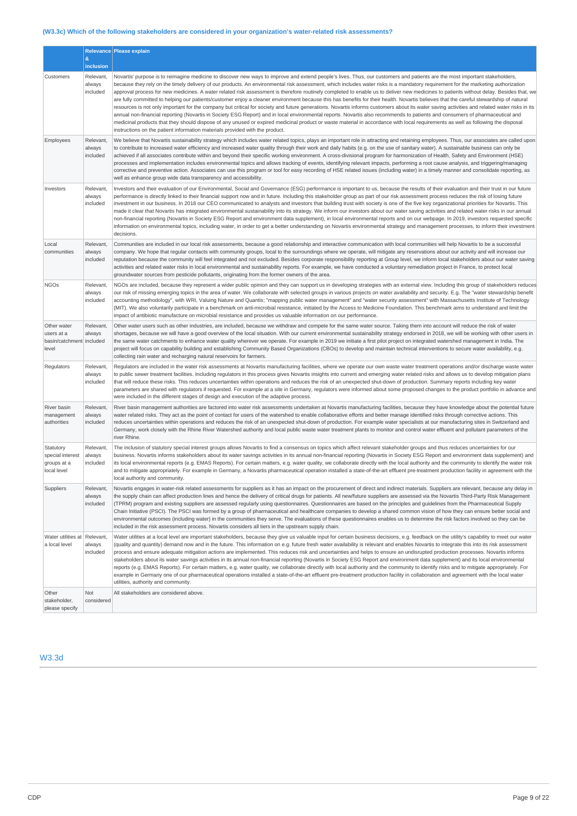# **(W3.3c) Which of the following stakeholders are considered in your organization's water-related risk assessments?**

|                                                                |                                 | Relevance Please explain                                                                                                                                                                                                                                                                                                                                                                                                                                                                                                                                                                                                                                                                                                                                                                                                                                                                                                                                                                                                                                                                                                                                                                                                                                                                                                                                                                                 |
|----------------------------------------------------------------|---------------------------------|----------------------------------------------------------------------------------------------------------------------------------------------------------------------------------------------------------------------------------------------------------------------------------------------------------------------------------------------------------------------------------------------------------------------------------------------------------------------------------------------------------------------------------------------------------------------------------------------------------------------------------------------------------------------------------------------------------------------------------------------------------------------------------------------------------------------------------------------------------------------------------------------------------------------------------------------------------------------------------------------------------------------------------------------------------------------------------------------------------------------------------------------------------------------------------------------------------------------------------------------------------------------------------------------------------------------------------------------------------------------------------------------------------|
|                                                                | $\&$<br>inclusion               |                                                                                                                                                                                                                                                                                                                                                                                                                                                                                                                                                                                                                                                                                                                                                                                                                                                                                                                                                                                                                                                                                                                                                                                                                                                                                                                                                                                                          |
| Customers                                                      | Relevant,<br>always<br>included | Novartis' purpose is to reimagine medicine to discover new ways to improve and extend people's lives. Thus, our customers and patients are the most important stakeholders,<br>because they rely on the timely delivery of our products. An environmental risk assessment, which includes water risks is a mandatory requirement for the marketing authorization<br>approval process for new medicines. A water related risk assessment is therefore routinely completed to enable us to deliver new medicines to patients without delay. Besides that, we<br>are fully committed to helping our patients/customer enjoy a cleaner environment because this has benefits for their health. Novartis believes that the careful stewardship of natural<br>resources is not only important for the company but critical for society and future generations. Novartis informs customers about its water saving activities and related water risks in its<br>annual non-financial reporting (Novartis in Society ESG Report) and in local environmental reports. Novartis also recommends to patients and consumers of pharmaceutical and<br>medicinal products that they should dispose of any unused or expired medicinal product or waste material in accordance with local requirements as well as following the disposal<br>instructions on the patient information materials provided with the product. |
| Employees                                                      | Relevant,<br>always<br>included | We believe that Novartis sustainability strategy which includes water related topics, plays an important role in attracting and retaining employees. Thus, our associates are called upon<br>to contribute to increased water efficiency and increased water quality through their work and daily habits (e.g. on the use of sanitary water). A sustainable business can only be<br>achieved if all associates contribute within and beyond their specific working environment. A cross-divisional program for harmonization of Health, Safety and Environment (HSE)<br>processes and implementation includes environmental topics and allows tracking of events, identifying relevant impacts, performing a root cause analysis, and triggering/managing<br>corrective and preventive action. Associates can use this program or tool for easy recording of HSE related issues (including water) in a timely manner and consolidate reporting, as<br>well as enhance group wide data transparency and accessibility.                                                                                                                                                                                                                                                                                                                                                                                    |
| Investors                                                      | Relevant,<br>always<br>included | Investors and their evaluation of our Environmental, Social and Governance (ESG) performance is important to us, because the results of their evaluation and their trust in our future<br>performance is directly linked to their financial support now and in future. Including this stakeholder group as part of our risk assessment process reduces the risk of losing future<br>investment in our business. In 2018 our CEO communicated to analysts and investors that building trust with society is one of the five key organizational priorities for Novartis. This<br>made it clear that Novartis has integrated environmental sustainability into its strategy. We inform our investors about our water saving activities and related water risks in our annual<br>non-financial reporting (Novartis in Society ESG Report and environment data supplement), in local environmental reports and on our webpage. In 2019, investors requested specific<br>information on environmental topics, including water, in order to get a better understanding on Novartis environmental strategy and management processes, to inform their investment<br>decisions.                                                                                                                                                                                                                                    |
| Local<br>communities                                           | Relevant,<br>always<br>included | Communities are included in our local risk assessments, because a good relationship and interactive communication with local communities will help Novartis to be a successful<br>company. We hope that regular contacts with community groups, local to the surroundings where we operate, will mitigate any reservations about our activity and will increase our<br>reputation because the community will feel integrated and not excluded. Besides corporate responsibility reporting at Group level, we inform local stakeholders about our water saving<br>activities and related water risks in local environmental and sustainability reports. For example, we have conducted a voluntary remediation project in France, to protect local<br>groundwater sources from pesticide pollutants, originating from the former owners of the area.                                                                                                                                                                                                                                                                                                                                                                                                                                                                                                                                                      |
| <b>NGOs</b>                                                    | Relevant,<br>always<br>included | NGOs are included, because they represent a wider public opinion and they can support us in developing strategies with an external view. Including this group of stakeholders reduces<br>our risk of missing emerging topics in the area of water. We collaborate with selected groups in various projects on water availability and security. E.g. The "water stewardship benefit<br>accounting methodology", with WRI, Valuing Nature and Quantis; "mapping public water management" and "water security assessment" with Massachusetts Institute of Technology<br>(MIT). We also voluntarily participate in a benchmark on anti-microbial resistance, initiated by the Access to Medicine Foundation. This benchmark aims to understand and limit the<br>impact of antibiotic manufacture on microbial resistance and provides us valuable information on our performance.                                                                                                                                                                                                                                                                                                                                                                                                                                                                                                                            |
| Other water<br>users at a<br>basin/catchment included<br>level | Relevant,<br>always             | Other water users such as other industries, are included, because we withdraw and compete for the same water source. Taking them into account will reduce the risk of water<br>shortages, because we will have a good overview of the local situation. With our current environmental sustainability strategy endorsed in 2018, we will be working with other users in<br>the same water catchments to enhance water quality wherever we operate. For example in 2019 we initiate a first pilot project on integrated watershed management in India. The<br>project will focus on capability building and establishing Community Based Organizations (CBOs) to develop and maintain technical interventions to secure water availability, e.g.<br>collecting rain water and recharging natural reservoirs for farmers.                                                                                                                                                                                                                                                                                                                                                                                                                                                                                                                                                                                   |
| Regulators                                                     | Relevant,<br>always<br>included | Regulators are included in the water risk assessments at Novartis manufacturing facilities, where we operate our own waste water treatment operations and/or discharge waste water<br>to public sewer treatment facilities. Including regulators in this process gives Novartis insights into current and emerging water related risks and allows us to develop mitigation plans<br>that will reduce these risks. This reduces uncertainties within operations and reduces the risk of an unexpected shut-down of production. Summary reports including key water<br>parameters are shared with regulators if requested. For example at a site in Germany, regulators were informed about some proposed changes to the product portfolio in advance and<br>were included in the different stages of design and execution of the adaptive process.                                                                                                                                                                                                                                                                                                                                                                                                                                                                                                                                                        |
| River basin<br>management<br>authorities                       | Relevant,<br>always<br>included | River basin management authorities are factored into water risk assessments undertaken at Novartis manufacturing facilities, because they have knowledge about the potential future<br>water related risks. They act as the point of contact for users of the watershed to enable collaborative efforts and better manage identified risks through corrective actions. This<br>reduces uncertainties within operations and reduces the risk of an unexpected shut-down of production. For example water specialists at our manufacturing sites in Switzerland and<br>Germany, work closely with the Rhine River Watershed authority and local public waste water treatment plants to monitor and control water effluent and pollutant parameters of the<br>river Rhine.                                                                                                                                                                                                                                                                                                                                                                                                                                                                                                                                                                                                                                  |
| Statutory<br>special interest<br>groups at a<br>local level    | Relevant,<br>always<br>included | The inclusion of statutory special interest groups allows Novartis to find a consensus on topics which affect relevant stakeholder groups and thus reduces uncertainties for our<br>business. Novartis informs stakeholders about its water savings activities in its annual non-financial reporting (Novartis in Society ESG Report and environment data supplement) and<br>its local environmental reports (e.g. EMAS Reports). For certain matters, e.g. water quality, we collaborate directly with the local authority and the community to identify the water risk<br>and to mitigate appropriately. For example in Germany, a Novartis pharmaceutical operation installed a state-of-the-art effluent pre-treatment production facility in agreement with the<br>local authority and community.                                                                                                                                                                                                                                                                                                                                                                                                                                                                                                                                                                                                   |
| Suppliers                                                      | Relevant,<br>always<br>included | Novartis engages in water-risk related assessments for suppliers as it has an impact on the procurement of direct and indirect materials. Suppliers are relevant, because any delay in<br>the supply chain can affect production lines and hence the delivery of critical drugs for patients. All new/future suppliers are assessed via the Novartis Third-Party Risk Management<br>(TPRM) program and existing suppliers are assessed regularly using questionnaires. Questionnaires are based on the principles and guidelines from the Pharmaceutical Supply<br>Chain Initiative (PSCI). The PSCI was formed by a group of pharmaceutical and healthcare companies to develop a shared common vision of how they can ensure better social and<br>environmental outcomes (including water) in the communities they serve. The evaluations of these questionnaires enables us to determine the risk factors involved so they can be<br>included in the risk assessment process. Novartis considers all tiers in the upstream supply chain.                                                                                                                                                                                                                                                                                                                                                              |
| Water utilities at Relevant,<br>a local level                  | always<br>included              | Water utilities at a local level are important stakeholders, because they give us valuable input for certain business decisions, e.g. feedback on the utility's capability to meet our water<br>(quality and quantity) demand now and in the future. This information on e.g. future fresh water availability is relevant and enables Novartis to integrate this into its risk assessment<br>process and ensure adequate mitigation actions are implemented. This reduces risk and uncertainties and helps to ensure an undisrupted production processes. Novartis informs<br>stakeholders about its water savings activities in its annual non-financial reporting (Novartis in Society ESG Report and environment data supplement) and its local environmental<br>reports (e.g. EMAS Reports). For certain matters, e.g. water quality, we collaborate directly with local authority and the community to identify risks and to mitigate appropriately. For<br>example in Germany one of our pharmaceutical operations installed a state-of-the-art effluent pre-treatment production facility in collaboration and agreement with the local water<br>utilities, authority and community.                                                                                                                                                                                                              |
| Other<br>stakeholder,<br>please specify                        | Not<br>considered               | All stakeholders are considered above.                                                                                                                                                                                                                                                                                                                                                                                                                                                                                                                                                                                                                                                                                                                                                                                                                                                                                                                                                                                                                                                                                                                                                                                                                                                                                                                                                                   |

# W3.3d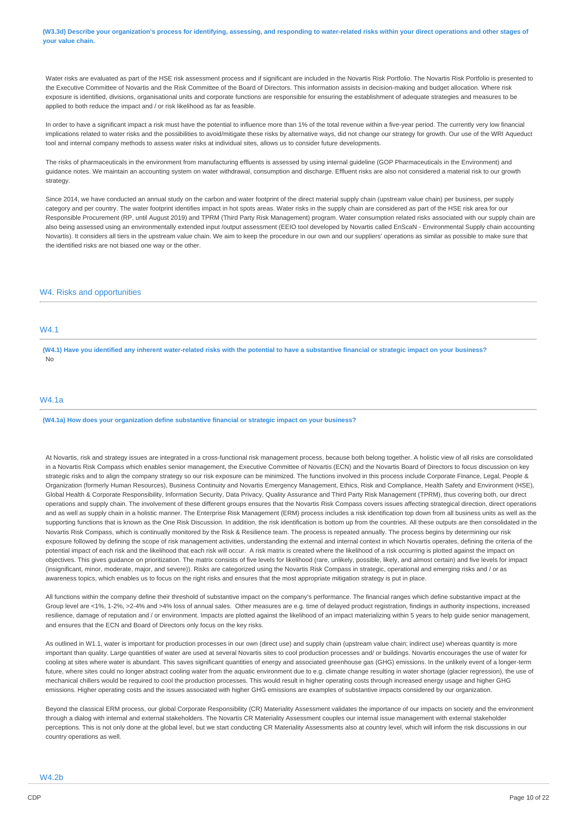(W3.3d) Describe your organization's process for identifying, assessing, and responding to water-related risks within your direct operations and other stages of **your value chain.**

Water risks are evaluated as part of the HSE risk assessment process and if significant are included in the Novartis Risk Portfolio. The Novartis Risk Portfolio is presented to the Executive Committee of Novartis and the Risk Committee of the Board of Directors. This information assists in decision-making and budget allocation. Where risk exposure is identified, divisions, organisational units and corporate functions are responsible for ensuring the establishment of adequate strategies and measures to be applied to both reduce the impact and / or risk likelihood as far as feasible.

In order to have a significant impact a risk must have the potential to influence more than 1% of the total revenue within a five-year period. The currently very low financial implications related to water risks and the possibilities to avoid/mitigate these risks by alternative ways, did not change our strategy for growth. Our use of the WRI Aqueduct tool and internal company methods to assess water risks at individual sites, allows us to consider future developments.

The risks of pharmaceuticals in the environment from manufacturing effluents is assessed by using internal guideline (GOP Pharmaceuticals in the Environment) and guidance notes. We maintain an accounting system on water withdrawal, consumption and discharge. Effluent risks are also not considered a material risk to our growth strategy.

Since 2014, we have conducted an annual study on the carbon and water footprint of the direct material supply chain (upstream value chain) per business, per supply category and per country. The water footprint identifies impact in hot spots areas. Water risks in the supply chain are considered as part of the HSE risk area for our Responsible Procurement (RP, until August 2019) and TPRM (Third Party Risk Management) program. Water consumption related risks associated with our supply chain are also being assessed using an environmentally extended input /output assessment (EEIO tool developed by Novartis called EnScaN - Environmental Supply chain accounting Novartis). It considers all tiers in the upstream value chain. We aim to keep the procedure in our own and our suppliers' operations as similar as possible to make sure that the identified risks are not biased one way or the other.

## W4. Risks and opportunities

# W4.1

(W4.1) Have you identified any inherent water-related risks with the potential to have a substantive financial or strategic impact on your business? No

## W4.1a

**(W4.1a) How does your organization define substantive financial or strategic impact on your business?**

At Novartis, risk and strategy issues are integrated in a cross-functional risk management process, because both belong together. A holistic view of all risks are consolidated in a Novartis Risk Compass which enables senior management, the Executive Committee of Novartis (ECN) and the Novartis Board of Directors to focus discussion on key strategic risks and to align the company strategy so our risk exposure can be minimized. The functions involved in this process include Corporate Finance, Legal, People & Organization (formerly Human Resources), Business Continuity and Novartis Emergency Management, Ethics, Risk and Compliance, Health Safety and Environment (HSE), Global Health & Corporate Responsibility, Information Security, Data Privacy, Quality Assurance and Third Party Risk Management (TPRM), thus covering both, our direct operations and supply chain. The involvement of these different groups ensures that the Novartis Risk Compass covers issues affecting strategical direction, direct operations and as well as supply chain in a holistic manner. The Enterprise Risk Management (ERM) process includes a risk identification top down from all business units as well as the supporting functions that is known as the One Risk Discussion. In addition, the risk identification is bottom up from the countries. All these outputs are then consolidated in the Novartis Risk Compass, which is continually monitored by the Risk & Resilience team. The process is repeated annually. The process begins by determining our risk exposure followed by defining the scope of risk management activities, understanding the external and internal context in which Novartis operates, defining the criteria of the potential impact of each risk and the likelihood that each risk will occur. A risk matrix is created where the likelihood of a risk occurring is plotted against the impact on objectives. This gives guidance on prioritization. The matrix consists of five levels for likelihood (rare, unlikely, possible, likely, and almost certain) and five levels for impact (insignificant, minor, moderate, major, and severe)). Risks are categorized using the Novartis Risk Compass in strategic, operational and emerging risks and / or as awareness topics, which enables us to focus on the right risks and ensures that the most appropriate mitigation strategy is put in place.

All functions within the company define their threshold of substantive impact on the company's performance. The financial ranges which define substantive impact at the Group level are <1%, 1-2%, >2-4% and >4% loss of annual sales. Other measures are e.g. time of delayed product registration, findings in authority inspections, increased resilience, damage of reputation and / or environment. Impacts are plotted against the likelihood of an impact materializing within 5 years to help guide senior management, and ensures that the ECN and Board of Directors only focus on the key risks.

As outlined in W1.1, water is important for production processes in our own (direct use) and supply chain (upstream value chain; indirect use) whereas quantity is more important than quality. Large quantities of water are used at several Novartis sites to cool production processes and/ or buildings. Novartis encourages the use of water for cooling at sites where water is abundant. This saves significant quantities of energy and associated greenhouse gas (GHG) emissions. In the unlikely event of a longer-term future, where sites could no longer abstract cooling water from the aquatic environment due to e.g. climate change resulting in water shortage (glacier regression), the use of mechanical chillers would be required to cool the production processes. This would result in higher operating costs through increased energy usage and higher GHG emissions. Higher operating costs and the issues associated with higher GHG emissions are examples of substantive impacts considered by our organization.

Beyond the classical ERM process, our global Corporate Responsibility (CR) Materiality Assessment validates the importance of our impacts on society and the environment through a dialog with internal and external stakeholders. The Novartis CR Materiality Assessment couples our internal issue management with external stakeholder perceptions. This is not only done at the global level, but we start conducting CR Materiality Assessments also at country level, which will inform the risk discussions in our country operations as well.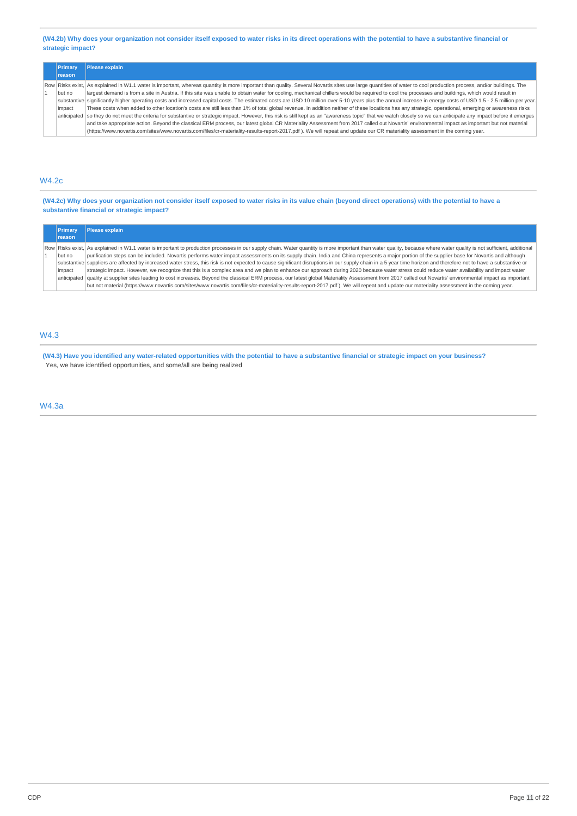(W4.2b) Why does your organization not consider itself exposed to water risks in its direct operations with the potential to have a substantive financial or **strategic impact?**

| Primary       | <b>Please explain</b>                                                                                                                                                                                              |
|---------------|--------------------------------------------------------------------------------------------------------------------------------------------------------------------------------------------------------------------|
| <b>reason</b> |                                                                                                                                                                                                                    |
|               | Row Risks exist, As explained in W1.1 water is important, whereas quantity is more important than quality. Several Novartis sites use large quantities of water to cool production process, and/or buildings. The  |
| but no        | largest demand is from a site in Austria. If this site was unable to obtain water for cooling, mechanical chillers would be required to cool the processes and buildings, which would result in                    |
|               | substantive significantly higher operating costs and increased capital costs. The estimated costs are USD 10 million over 5-10 years plus the annual increase in energy costs of USD 1.5 - 2.5 million per year.   |
| impact        | These costs when added to other location's costs are still less than 1% of total global revenue. In addition neither of these locations has any strategic, operational, emerging or awareness risks                |
|               | anticipated so they do not meet the criteria for substantive or strategic impact. However, this risk is still kept as an "awareness topic" that we watch closely so we can anticipate any impact before it emerges |
|               | and take appropriate action. Beyond the classical ERM process, our latest global CR Materiality Assessment from 2017 called out Novartis' environmental impact as important but not material                       |
|               | (https://www.novartis.com/sites/www.novartis.com/files/cr-materiality-results-report-2017.pdf). We will repeat and update our CR materiality assessment in the coming year.                                        |

# W4.2c

(W4.2c) Why does your organization not consider itself exposed to water risks in its value chain (beyond direct operations) with the potential to have a **substantive financial or strategic impact?**

| Primary       | <b>Please explain</b>                                                                                                                                                                                                |
|---------------|----------------------------------------------------------------------------------------------------------------------------------------------------------------------------------------------------------------------|
| <b>reason</b> |                                                                                                                                                                                                                      |
|               | Row Risks exist, As explained in W1.1 water is important to production processes in our supply chain. Water quantity is more important than water quality, because where water quality is not sufficient, additional |
| but no        | purification steps can be included. Novartis performs water impact assessments on its supply chain. India and China represents a major portion of the supplier base for Novartis and although                        |
|               | substantive suppliers are affected by increased water stress, this risk is not expected to cause significant disruptions in our supply chain in a 5 year time horizon and therefore not to have a substantive or     |
| impact        | strategic impact. However, we recognize that this is a complex area and we plan to enhance our approach during 2020 because water stress could reduce water availability and impact water                            |
|               | anticipated  quality at supplier sites leading to cost increases. Beyond the classical ERM process, our latest global Materiality Assessment from 2017 called out Novartis' environmental impact as important        |
|               | but not material (https://www.novartis.com/sites/www.novartis.com/files/cr-materiality-results-report-2017.pdf). We will repeat and update our materiality assessment in the coming year.                            |

# W4.3

(W4.3) Have you identified any water-related opportunities with the potential to have a substantive financial or strategic impact on your business? Yes, we have identified opportunities, and some/all are being realized

W4.3a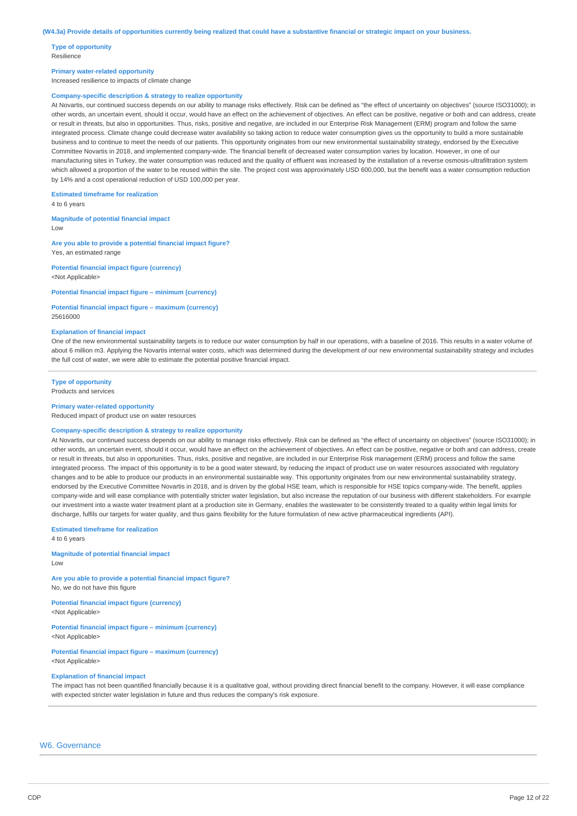**Type of opportunity** Resilience

#### **Primary water-related opportunity**

Increased resilience to impacts of climate change

#### **Company-specific description & strategy to realize opportunity**

At Novartis, our continued success depends on our ability to manage risks effectively. Risk can be defined as "the effect of uncertainty on objectives" (source ISO31000); in other words, an uncertain event, should it occur, would have an effect on the achievement of objectives. An effect can be positive, negative or both and can address, create or result in threats, but also in opportunities. Thus, risks, positive and negative, are included in our Enterprise Risk Management (ERM) program and follow the same integrated process. Climate change could decrease water availability so taking action to reduce water consumption gives us the opportunity to build a more sustainable business and to continue to meet the needs of our patients. This opportunity originates from our new environmental sustainability strategy, endorsed by the Executive Committee Novartis in 2018, and implemented company-wide. The financial benefit of decreased water consumption varies by location. However, in one of our manufacturing sites in Turkey, the water consumption was reduced and the quality of effluent was increased by the installation of a reverse osmosis-ultrafiltration system which allowed a proportion of the water to be reused within the site. The project cost was approximately USD 600,000, but the benefit was a water consumption reduction by 14% and a cost operational reduction of USD 100,000 per year.

#### **Estimated timeframe for realization**

4 to 6 years

#### **Magnitude of potential financial impact**

Low

**Are you able to provide a potential financial impact figure?** Yes, an estimated range

**Potential financial impact figure (currency)** <Not Applicable>

**Potential financial impact figure – minimum (currency)**

**Potential financial impact figure – maximum (currency)** 25616000

#### **Explanation of financial impact**

One of the new environmental sustainability targets is to reduce our water consumption by half in our operations, with a baseline of 2016. This results in a water volume of about 6 million m3. Applying the Novartis internal water costs, which was determined during the development of our new environmental sustainability strategy and includes the full cost of water, we were able to estimate the potential positive financial impact.

#### **Type of opportunity** Products and services

### **Primary water-related opportunity**

Reduced impact of product use on water resources

#### **Company-specific description & strategy to realize opportunity**

At Novartis, our continued success depends on our ability to manage risks effectively. Risk can be defined as "the effect of uncertainty on objectives" (source ISO31000); in other words, an uncertain event, should it occur, would have an effect on the achievement of objectives. An effect can be positive, negative or both and can address, create or result in threats, but also in opportunities. Thus, risks, positive and negative, are included in our Enterprise Risk management (ERM) process and follow the same integrated process. The impact of this opportunity is to be a good water steward, by reducing the impact of product use on water resources associated with regulatory changes and to be able to produce our products in an environmental sustainable way. This opportunity originates from our new environmental sustainability strategy, endorsed by the Executive Committee Novartis in 2018, and is driven by the global HSE team, which is responsible for HSE topics company-wide. The benefit, applies company-wide and will ease compliance with potentially stricter water legislation, but also increase the reputation of our business with different stakeholders. For example our investment into a waste water treatment plant at a production site in Germany, enables the wastewater to be consistently treated to a quality within legal limits for discharge, fulfils our targets for water quality, and thus gains flexibility for the future formulation of new active pharmaceutical ingredients (API).

**Estimated timeframe for realization** 4 to 6 years

**Magnitude of potential financial impact** Low

**Are you able to provide a potential financial impact figure?** No, we do not have this figure

**Potential financial impact figure (currency)** <Not Applicable>

**Potential financial impact figure – minimum (currency)** <Not Applicable>

**Potential financial impact figure – maximum (currency)** <Not Applicable>

#### **Explanation of financial impact**

The impact has not been quantified financially because it is a qualitative goal, without providing direct financial benefit to the company. However, it will ease compliance with expected stricter water legislation in future and thus reduces the company's risk exposure.

## W6. Governance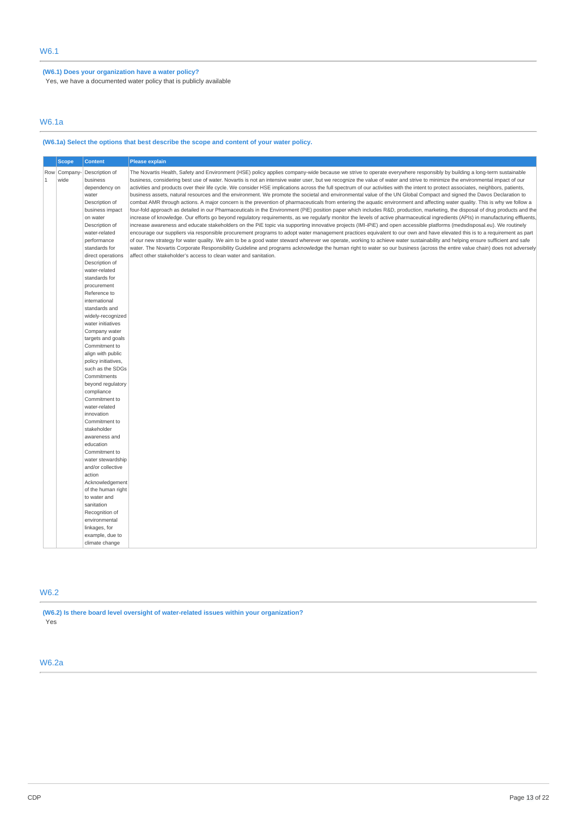**(W6.1) Does your organization have a water policy?**

Yes, we have a documented water policy that is publicly available

# W6.1a

# **(W6.1a) Select the options that best describe the scope and content of your water policy.**

|              | <b>Scope</b>        | <b>Content</b>                                                                                                                                                                                                                                                                                                                                                                                                                                                                                                                                                                                                                                                                                                                              | <b>Please explain</b>                                                                                                                                                                                                                                                                                                                                                                                                                                                                                                                                                                                                                                                                                                                                                                                                                                                                                                                                                                                                                                                                                                                                                                                                                                                                                                                                                                                                                                                                                                                                                                                                                                                                                                                                                                                                                                                                                                                                                                                                                                                |
|--------------|---------------------|---------------------------------------------------------------------------------------------------------------------------------------------------------------------------------------------------------------------------------------------------------------------------------------------------------------------------------------------------------------------------------------------------------------------------------------------------------------------------------------------------------------------------------------------------------------------------------------------------------------------------------------------------------------------------------------------------------------------------------------------|----------------------------------------------------------------------------------------------------------------------------------------------------------------------------------------------------------------------------------------------------------------------------------------------------------------------------------------------------------------------------------------------------------------------------------------------------------------------------------------------------------------------------------------------------------------------------------------------------------------------------------------------------------------------------------------------------------------------------------------------------------------------------------------------------------------------------------------------------------------------------------------------------------------------------------------------------------------------------------------------------------------------------------------------------------------------------------------------------------------------------------------------------------------------------------------------------------------------------------------------------------------------------------------------------------------------------------------------------------------------------------------------------------------------------------------------------------------------------------------------------------------------------------------------------------------------------------------------------------------------------------------------------------------------------------------------------------------------------------------------------------------------------------------------------------------------------------------------------------------------------------------------------------------------------------------------------------------------------------------------------------------------------------------------------------------------|
| $\mathbf{1}$ | Row Company<br>wide | Description of<br>business<br>dependency on<br>water<br>Description of<br>business impact<br>on water<br>Description of<br>water-related<br>performance<br>standards for<br>direct operations<br>Description of<br>water-related<br>standards for<br>procurement<br>Reference to<br>international<br>standards and<br>widely-recognized<br>water initiatives<br>Company water<br>targets and goals<br>Commitment to<br>align with public<br>policy initiatives.<br>such as the SDGs<br>Commitments<br>beyond regulatory<br>compliance<br>Commitment to<br>water-related<br>innovation<br>Commitment to<br>stakeholder<br>awareness and<br>education<br>Commitment to<br>water stewardship<br>and/or collective<br>action<br>Acknowledgement | The Novartis Health, Safety and Environment (HSE) policy applies company-wide because we strive to operate everywhere responsibly by building a long-term sustainable<br>business, considering best use of water. Novartis is not an intensive water user, but we recognize the value of water and strive to minimize the environmental impact of our<br>activities and products over their life cycle. We consider HSE implications across the full spectrum of our activities with the intent to protect associates, neighbors, patients,<br>business assets, natural resources and the environment. We promote the societal and environmental value of the UN Global Compact and signed the Davos Declaration to<br>combat AMR through actions. A major concern is the prevention of pharmaceuticals from entering the aquatic environment and affecting water quality. This is why we follow a<br>four-fold approach as detailed in our Pharmaceuticals in the Environment (PiE) position paper which includes R&D, production, marketing, the disposal of drug products and the<br>increase of knowledge. Our efforts go beyond regulatory requirements, as we regularly monitor the levels of active pharmaceutical ingredients (APIs) in manufacturing effluents,<br>increase awareness and educate stakeholders on the PiE topic via supporting innovative projects (IMI-iPiE) and open accessible platforms (medsdisposal.eu). We routinely<br>encourage our suppliers via responsible procurement programs to adopt water management practices equivalent to our own and have elevated this is to a requirement as part<br>of our new strategy for water quality. We aim to be a good water steward wherever we operate, working to achieve water sustainability and helping ensure sufficient and safe<br>water. The Novartis Corporate Responsibility Guideline and programs acknowledge the human right to water so our business (across the entire value chain) does not adversely<br>affect other stakeholder's access to clean water and sanitation. |
|              |                     | of the human right<br>to water and<br>sanitation<br>Recognition of<br>environmental<br>linkages, for<br>example, due to<br>climate change                                                                                                                                                                                                                                                                                                                                                                                                                                                                                                                                                                                                   |                                                                                                                                                                                                                                                                                                                                                                                                                                                                                                                                                                                                                                                                                                                                                                                                                                                                                                                                                                                                                                                                                                                                                                                                                                                                                                                                                                                                                                                                                                                                                                                                                                                                                                                                                                                                                                                                                                                                                                                                                                                                      |

# W6.2

**(W6.2) Is there board level oversight of water-related issues within your organization?** Yes

# W6.2a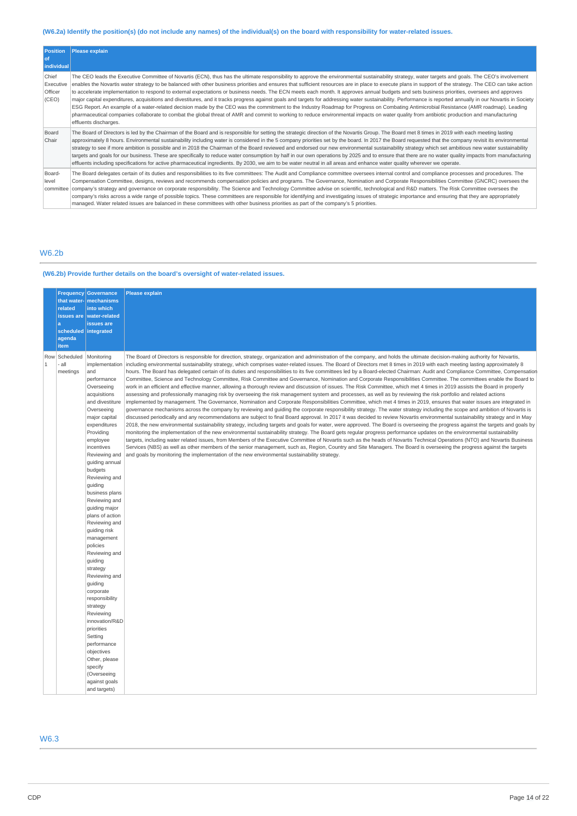# (W6.2a) Identify the position(s) (do not include any names) of the individual(s) on the board with responsibility for water-related issues.

| <b>Position</b><br>of<br>individual    | Please explain                                                                                                                                                                                                                                                                                                                                                                                                                                                                                                                                                                                                                                                                                                                                                                                                                                                                                                                                                                                                                                                                                                                                                                                                                                     |
|----------------------------------------|----------------------------------------------------------------------------------------------------------------------------------------------------------------------------------------------------------------------------------------------------------------------------------------------------------------------------------------------------------------------------------------------------------------------------------------------------------------------------------------------------------------------------------------------------------------------------------------------------------------------------------------------------------------------------------------------------------------------------------------------------------------------------------------------------------------------------------------------------------------------------------------------------------------------------------------------------------------------------------------------------------------------------------------------------------------------------------------------------------------------------------------------------------------------------------------------------------------------------------------------------|
| Chief<br>Executive<br>Officer<br>(CEO) | The CEO leads the Executive Committee of Novartis (ECN), thus has the ultimate responsibility to approve the environmental sustainability strategy, water targets and goals. The CEO's involvement<br>enables the Novartis water strategy to be balanced with other business priorities and ensures that sufficient resources are in place to execute plans in support of the strategy. The CEO can take action<br>to accelerate implementation to respond to external expectations or business needs. The ECN meets each month. It approves annual budgets and sets business priorities, oversees and approves<br>major capital expenditures, acquisitions and divestitures, and it tracks progress against goals and targets for addressing water sustainability. Performance is reported annually in our Novartis in Society<br>ESG Report. An example of a water-related decision made by the CEO was the commitment to the Industry Roadmap for Progress on Combating Antimicrobial Resistance (AMR roadmap). Leading<br>pharmaceutical companies collaborate to combat the global threat of AMR and commit to working to reduce environmental impacts on water quality from antibiotic production and manufacturing<br>effluents discharges. |
| Board<br>Chair                         | The Board of Directors is led by the Chairman of the Board and is responsible for setting the strategic direction of the Novartis Group. The Board met 8 times in 2019 with each meeting lasting<br>approximately 8 hours. Environmental sustainability including water is considered in the 5 company priorities set by the board. In 2017 the Board requested that the company revisit its environmental<br>strategy to see if more ambition is possible and in 2018 the Chairman of the Board reviewed and endorsed our new environmental sustainability strategy which set ambitious new water sustainability<br>targets and goals for our business. These are specifically to reduce water consumption by half in our own operations by 2025 and to ensure that there are no water quality impacts from manufacturing<br>effluents including specifications for active pharmaceutical ingredients. By 2030, we aim to be water neutral in all areas and enhance water quality wherever we operate.                                                                                                                                                                                                                                            |
| Board-<br>level<br>committee           | The Board delegates certain of its duties and responsibilities to its five committees: The Audit and Compliance committee oversees internal control and compliance processes and procedures. The<br>Compensation Committee, designs, reviews and recommends compensation policies and programs. The Governance, Nomination and Corporate Responsibilities Committee (GNCRC) oversees the<br>company's strategy and governance on corporate responsibility. The Science and Technology Committee advise on scientific, technological and R&D matters. The Risk Committee oversees the<br>company's risks across a wide range of possible topics. These committees are responsible for identifying and investigating issues of strategic importance and ensuring that they are appropriately<br>managed. Water related issues are balanced in these committees with other business priorities as part of the company's 5 priorities.                                                                                                                                                                                                                                                                                                                 |

# W6.2b

# **(W6.2b) Provide further details on the board's oversight of water-related issues.**

|                     | <b>Frequency</b><br>that water-<br>related<br>issues are<br>a<br>agenda<br>item | <b>Governance</b><br>mechanisms<br>into which<br>water-related<br>issues are<br>scheduled integrated                                                                                                                                                                                                                                                                                                                                                                                                                                                                                                                                                                                  | Please explain                                                                                                                                                                                                                                                                                                                                                                                                                                                                                                                                                                                                                                                                                                                                                                                                                                                                                                                                                                                                                                                                                                                                                                                                                                                                                                                                                                                                                                                                                                                                                                                                                                                                                                                                                                                                                                                                                                                                                                                                                                                                                                                                                                                                                                                                                                                                                                                                                               |
|---------------------|---------------------------------------------------------------------------------|---------------------------------------------------------------------------------------------------------------------------------------------------------------------------------------------------------------------------------------------------------------------------------------------------------------------------------------------------------------------------------------------------------------------------------------------------------------------------------------------------------------------------------------------------------------------------------------------------------------------------------------------------------------------------------------|----------------------------------------------------------------------------------------------------------------------------------------------------------------------------------------------------------------------------------------------------------------------------------------------------------------------------------------------------------------------------------------------------------------------------------------------------------------------------------------------------------------------------------------------------------------------------------------------------------------------------------------------------------------------------------------------------------------------------------------------------------------------------------------------------------------------------------------------------------------------------------------------------------------------------------------------------------------------------------------------------------------------------------------------------------------------------------------------------------------------------------------------------------------------------------------------------------------------------------------------------------------------------------------------------------------------------------------------------------------------------------------------------------------------------------------------------------------------------------------------------------------------------------------------------------------------------------------------------------------------------------------------------------------------------------------------------------------------------------------------------------------------------------------------------------------------------------------------------------------------------------------------------------------------------------------------------------------------------------------------------------------------------------------------------------------------------------------------------------------------------------------------------------------------------------------------------------------------------------------------------------------------------------------------------------------------------------------------------------------------------------------------------------------------------------------------|
| Row<br>$\mathbf{1}$ | Scheduled<br>- all<br>meetings                                                  | Monitoring<br>implementation<br>and<br>performance<br>Overseeing<br>acquisitions<br>and divestiture<br>Overseeing<br>major capital<br>expenditures<br>Providing<br>employee<br>incentives<br>Reviewing and<br>guiding annual<br>budgets<br>Reviewing and<br>guiding<br>business plans<br>Reviewing and<br>guiding major<br>plans of action<br>Reviewing and<br>quiding risk<br>management<br>policies<br>Reviewing and<br>guiding<br>strategy<br>Reviewing and<br>quiding<br>corporate<br>responsibility<br>strategy<br>Reviewing<br>innovation/R&D<br>priorities<br>Setting<br>performance<br>objectives<br>Other, please<br>specify<br>(Overseeing<br>against goals<br>and targets) | The Board of Directors is responsible for direction, strategy, organization and administration of the company, and holds the ultimate decision-making authority for Novartis,<br>including environmental sustainability strategy, which comprises water-related issues. The Board of Directors met 8 times in 2019 with each meeting lasting approximately 8<br>hours. The Board has delegated certain of its duties and responsibilities to its five committees led by a Board-elected Chairman: Audit and Compliance Committee, Compensation<br>Committee, Science and Technology Committee, Risk Committee and Governance, Nomination and Corporate Responsibilities Committee. The committees enable the Board to<br>work in an efficient and effective manner, allowing a thorough review and discussion of issues. The Risk Committee, which met 4 times in 2019 assists the Board in properly<br>assessing and professionally managing risk by overseeing the risk management system and processes, as well as by reviewing the risk portfolio and related actions<br>implemented by management. The Governance, Nomination and Corporate Responsibilities Committee, which met 4 times in 2019, ensures that water issues are integrated in<br>governance mechanisms across the company by reviewing and guiding the corporate responsibility strategy. The water strategy including the scope and ambition of Novartis is<br>discussed periodically and any recommendations are subject to final Board approval. In 2017 it was decided to review Novartis environmental sustainability strategy and in May<br>2018, the new environmental sustainability strategy, including targets and goals for water, were approved. The Board is overseeing the progress against the targets and goals by<br>monitoring the implementation of the new environmental sustainability strategy. The Board gets regular progress performance updates on the environmental sustainability<br>targets, including water related issues, from Members of the Executive Committee of Novartis such as the heads of Novartis Technical Operations (NTO) and Novartis Business<br>Services (NBS) as well as other members of the senior management, such as, Region, Country and Site Managers. The Board is overseeing the progress against the targets<br>and goals by monitoring the implementation of the new environmental sustainability strategy. |

# W6.3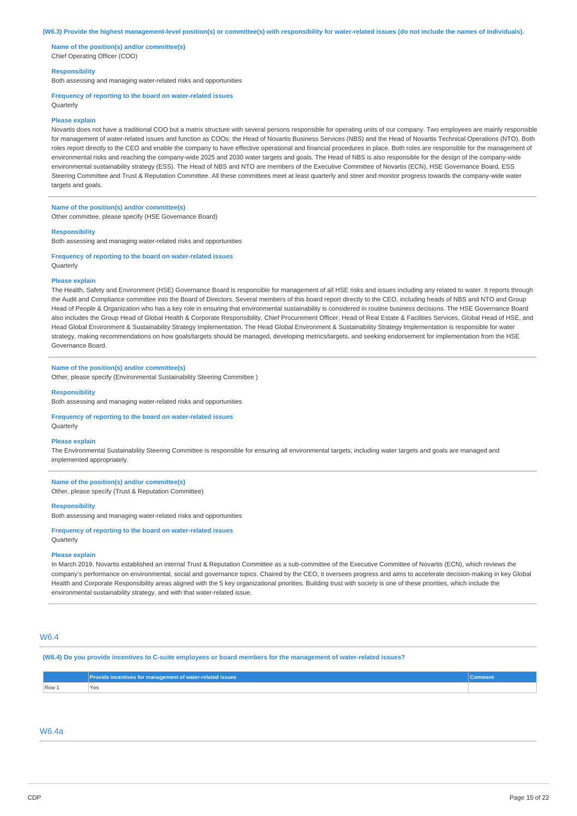#### (W6.3) Provide the highest management-level position(s) or committee(s) with responsibility for water-related issues (do not include the names of individuals).

**Name of the position(s) and/or committee(s)** Chief Operating Officer (COO)

#### **Responsibility**

Both assessing and managing water-related risks and opportunities

#### **Frequency of reporting to the board on water-related issues**

Quarterly

#### **Please explain**

Novartis does not have a traditional COO but a matrix structure with several persons responsible for operating units of our company. Two employees are mainly responsible for management of water-related issues and function as COOs: the Head of Novartis Business Services (NBS) and the Head of Novartis Technical Operations (NTO). Both roles report directly to the CEO and enable the company to have effective operational and financial procedures in place. Both roles are responsible for the management of environmental risks and reaching the company-wide 2025 and 2030 water targets and goals. The Head of NBS is also responsible for the design of the company-wide environmental sustainability strategy (ESS). The Head of NBS and NTO are members of the Executive Committee of Novartis (ECN), HSE Governance Board, ESS Steering Committee and Trust & Reputation Committee. All these committees meet at least quarterly and steer and monitor progress towards the company-wide water targets and goals.

# **Name of the position(s) and/or committee(s)**

Other committee, please specify (HSE Governance Board)

# **Responsibility**

Both assessing and managing water-related risks and opportunities

**Frequency of reporting to the board on water-related issues** Quarterly

#### **Please explain**

The Health, Safety and Environment (HSE) Governance Board is responsible for management of all HSE risks and issues including any related to water. It reports through the Audit and Compliance committee into the Board of Directors. Several members of this board report directly to the CEO, including heads of NBS and NTO and Group Head of People & Organization who has a key role in ensuring that environmental sustainability is considered in routine business decisions. The HSE Governance Board also includes the Group Head of Global Health & Corporate Responsibility, Chief Procurement Officer, Head of Real Estate & Facilities Services, Global Head of HSE, and Head Global Environment & Sustainability Strategy Implementation. The Head Global Environment & Sustainability Strategy Implementation is responsible for water strategy, making recommendations on how goals/targets should be managed, developing metrics/targets, and seeking endorsement for implementation from the HSE Governance Board.

### **Name of the position(s) and/or committee(s)**

Other, please specify (Environmental Sustainability Steering Committee )

#### **Responsibility**

Both assessing and managing water-related risks and opportunities

### **Frequency of reporting to the board on water-related issues** Quarterly

#### **Please explain**

The Environmental Sustainability Steering Committee is responsible for ensuring all environmental targets, including water targets and goals are managed and implemented appropriately.

## **Name of the position(s) and/or committee(s)** Other, please specify (Trust & Reputation Committee)

**Responsibility**

Both assessing and managing water-related risks and opportunities

#### **Frequency of reporting to the board on water-related issues Ouarterly**

### **Please explain**

In March 2019, Novartis established an internal Trust & Reputation Committee as a sub-committee of the Executive Committee of Novartis (ECN), which reviews the company's performance on environmental, social and governance topics. Chaired by the CEO, it oversees progress and aims to accelerate decision-making in key Global Health and Corporate Responsibility areas aligned with the 5 key organizational priorities. Building trust with society is one of these priorities, which include the environmental sustainability strategy, and with that water-related issue.

# W6.4

#### (W6.4) Do you provide incentives to C-suite employees or board members for the management of water-related issues?

|       | Provide incentives for management of water-related issues | Comment |
|-------|-----------------------------------------------------------|---------|
| Row 1 | Yes                                                       |         |

## W6.4a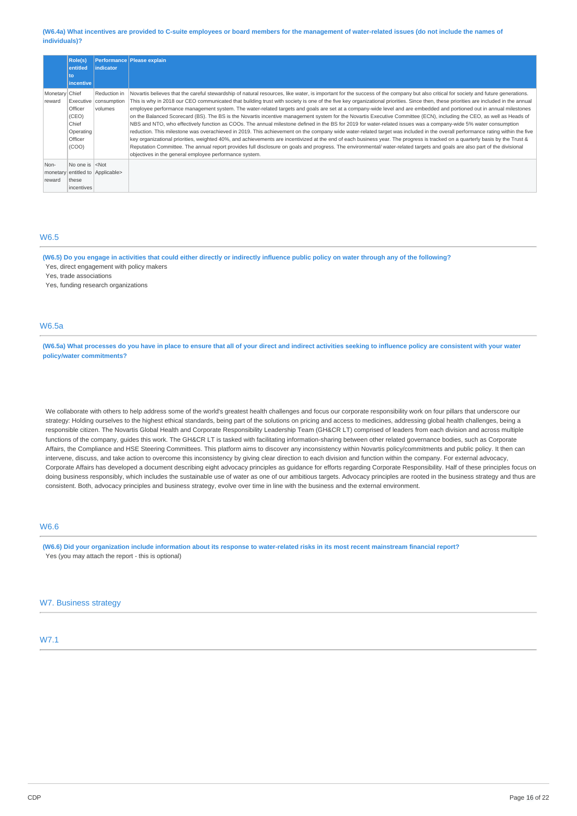### (W6.4a) What incentives are provided to C-suite employees or board members for the management of water-related issues (do not include the names of **individuals)?**

|                            | Role(s)<br>entitled                                        | <i>lindicator</i>                                  | Performance Please explain                                                                                                                                                                                                                                                                                                                                                                                                                                                                                                                                                                                                                                                                                                                                                                                                                                                                                                                                                                                                                                                                                                                                                                                                                                                                                                                                                                                                                                                                           |
|----------------------------|------------------------------------------------------------|----------------------------------------------------|------------------------------------------------------------------------------------------------------------------------------------------------------------------------------------------------------------------------------------------------------------------------------------------------------------------------------------------------------------------------------------------------------------------------------------------------------------------------------------------------------------------------------------------------------------------------------------------------------------------------------------------------------------------------------------------------------------------------------------------------------------------------------------------------------------------------------------------------------------------------------------------------------------------------------------------------------------------------------------------------------------------------------------------------------------------------------------------------------------------------------------------------------------------------------------------------------------------------------------------------------------------------------------------------------------------------------------------------------------------------------------------------------------------------------------------------------------------------------------------------------|
|                            | to<br>incentive                                            |                                                    |                                                                                                                                                                                                                                                                                                                                                                                                                                                                                                                                                                                                                                                                                                                                                                                                                                                                                                                                                                                                                                                                                                                                                                                                                                                                                                                                                                                                                                                                                                      |
| Monetary Chief<br>reward   | Officer<br>(CEO)<br>Chief<br>Operating<br>Officer<br>(COO) | Reduction in<br>Executive   consumption<br>volumes | Novartis believes that the careful stewardship of natural resources, like water, is important for the success of the company but also critical for society and future generations.<br>This is why in 2018 our CEO communicated that building trust with society is one of the five key organizational priorities. Since then, these priorities are included in the annual<br>employee performance management system. The water-related targets and goals are set at a company-wide level and are embedded and portioned out in annual milestones<br>on the Balanced Scorecard (BS). The BS is the Novartis incentive management system for the Novartis Executive Committee (ECN), including the CEO, as well as Heads of<br>NBS and NTO, who effectively function as COOs. The annual milestone defined in the BS for 2019 for water-related issues was a company-wide 5% water consumption<br>reduction. This milestone was overachieved in 2019. This achievement on the company wide water-related target was included in the overall performance rating within the five<br>key organizational priorities, weighted 40%, and achievements are incentivized at the end of each business year. The progress is tracked on a quarterly basis by the Trust &<br>Reputation Committee. The annual report provides full disclosure on goals and progress. The environmental/ water-related targets and goals are also part of the divisional<br>objectives in the general employee performance system. |
| Non-<br>monetary<br>reward | No one is $ $ <not<br>these<br/>incentives</not<br>        | entitled to Applicable>                            |                                                                                                                                                                                                                                                                                                                                                                                                                                                                                                                                                                                                                                                                                                                                                                                                                                                                                                                                                                                                                                                                                                                                                                                                                                                                                                                                                                                                                                                                                                      |

# W6.5

(W6.5) Do you engage in activities that could either directly or indirectly influence public policy on water through any of the following? Yes, direct engagement with policy makers

Yes, trade associations

Yes, funding research organizations

## W6.5a

(W6.5a) What processes do you have in place to ensure that all of your direct and indirect activities seeking to influence policy are consistent with your water **policy/water commitments?**

We collaborate with others to help address some of the world's greatest health challenges and focus our corporate responsibility work on four pillars that underscore our strategy: Holding ourselves to the highest ethical standards, being part of the solutions on pricing and access to medicines, addressing global health challenges, being a responsible citizen. The Novartis Global Health and Corporate Responsibility Leadership Team (GH&CR LT) comprised of leaders from each division and across multiple functions of the company, guides this work. The GH&CR LT is tasked with facilitating information-sharing between other related governance bodies, such as Corporate Affairs, the Compliance and HSE Steering Committees. This platform aims to discover any inconsistency within Novartis policy/commitments and public policy. It then can intervene, discuss, and take action to overcome this inconsistency by giving clear direction to each division and function within the company. For external advocacy, Corporate Affairs has developed a document describing eight advocacy principles as guidance for efforts regarding Corporate Responsibility. Half of these principles focus on doing business responsibly, which includes the sustainable use of water as one of our ambitious targets. Advocacy principles are rooted in the business strategy and thus are consistent. Both, advocacy principles and business strategy, evolve over time in line with the business and the external environment.

# W6.6

(W6.6) Did your organization include information about its response to water-related risks in its most recent mainstream financial report? Yes (you may attach the report - this is optional)

### W7. Business strategy

## W7.1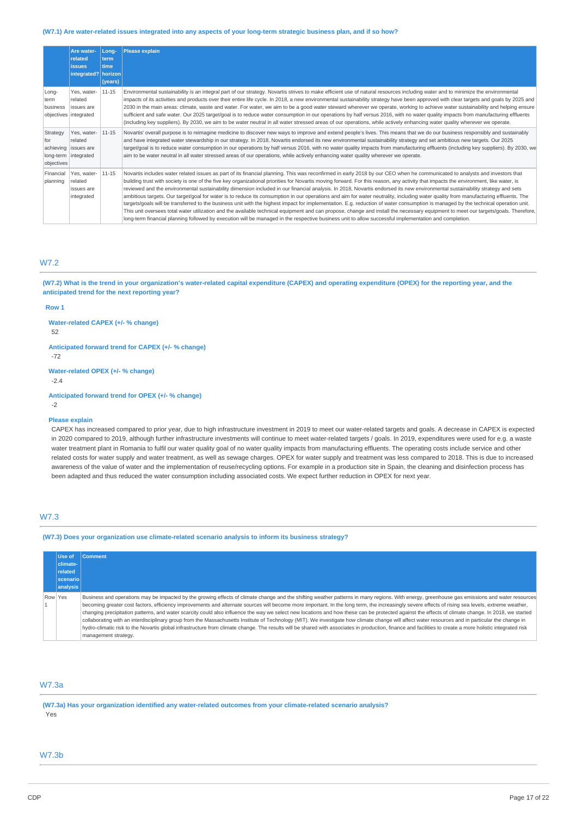#### (W7.1) Are water-related issues integrated into any aspects of your long-term strategic business plan, and if so how?

|                               | Are water-<br>related<br><b>issues</b><br>integrated? horizon            | Long-<br>term<br>time<br>(years) | <b>Please explain</b>                                                                                                                                                                                                                                                                                                                                                                                                                                                                                                                                                                                                                                                                                                                                                                                                                                                                                                                                                                                                                                                                                                                                                                                                                                                            |
|-------------------------------|--------------------------------------------------------------------------|----------------------------------|----------------------------------------------------------------------------------------------------------------------------------------------------------------------------------------------------------------------------------------------------------------------------------------------------------------------------------------------------------------------------------------------------------------------------------------------------------------------------------------------------------------------------------------------------------------------------------------------------------------------------------------------------------------------------------------------------------------------------------------------------------------------------------------------------------------------------------------------------------------------------------------------------------------------------------------------------------------------------------------------------------------------------------------------------------------------------------------------------------------------------------------------------------------------------------------------------------------------------------------------------------------------------------|
| Long-<br>term<br>business     | Yes, water-<br>related<br>issues are<br>objectives integrated            | $11 - 15$                        | Environmental sustainability is an integral part of our strategy. Novartis strives to make efficient use of natural resources including water and to minimize the environmental<br>impacts of its activities and products over their entire life cycle. In 2018, a new environmental sustainability strategy have been approved with clear targets and goals by 2025 and<br>2030 in the main areas: climate, waste and water. For water, we aim to be a good water steward wherever we operate, working to achieve water sustainability and helping ensure<br>sufficient and safe water. Our 2025 target/goal is to reduce water consumption in our operations by half versus 2016, with no water quality impacts from manufacturing effluents<br>(including key suppliers). By 2030, we aim to be water neutral in all water stressed areas of our operations, while actively enhancing water quality wherever we operate.                                                                                                                                                                                                                                                                                                                                                      |
| Strategy<br>for<br>objectives | Yes, water-<br>related<br>achieving issues are<br>long-term   integrated | 11-15                            | Novartis' overall purpose is to reimagine medicine to discover new ways to improve and extend people's lives. This means that we do our business responsibly and sustainably<br>and have integrated water stewardship in our strategy. In 2018, Novartis endorsed its new environmental sustainability strategy and set ambitious new targets. Our 2025<br>target/goal is to reduce water consumption in our operations by half versus 2016, with no water quality impacts from manufacturing effluents (including key suppliers). By 2030, we<br>aim to be water neutral in all water stressed areas of our operations, while actively enhancing water quality wherever we operate.                                                                                                                                                                                                                                                                                                                                                                                                                                                                                                                                                                                             |
| Financial<br>planning         | Yes, water-<br>related<br>issues are<br>integrated                       | $11 - 15$                        | Novartis includes water related issues as part of its financial planning. This was reconfirmed in early 2018 by our CEO when he communicated to analysts and investors that<br>building trust with society is one of the five key organizational priorities for Novartis moving forward. For this reason, any activity that impacts the environment, like water, is<br>reviewed and the environmental sustainability dimension included in our financial analysis. In 2018, Novartis endorsed its new environmental sustainability strategy and sets<br>ambitious targets. Our target/goal for water is to reduce its consumption in our operations and aim for water neutrality, including water quality from manufacturing effluents. The<br>targets/goals will be transferred to the business unit with the highest impact for implementation. E.g. reduction of water consumption is managed by the technical operation unit.<br>This unit oversees total water utilization and the available technical equipment and can propose, change and install the necessary equipment to meet our targets/goals. Therefore,<br>long-term financial planning followed by execution will be managed in the respective business unit to allow successful implementation and completion. |

# W7.2

(W7.2) What is the trend in your organization's water-related capital expenditure (CAPEX) and operating expenditure (OPEX) for the reporting year, and the **anticipated trend for the next reporting year?**

### **Row 1**

**Water-related CAPEX (+/- % change)**

52

**Anticipated forward trend for CAPEX (+/- % change)** -72

**Water-related OPEX (+/- % change)**

-2.4

**Anticipated forward trend for OPEX (+/- % change)** -2

### **Please explain**

CAPEX has increased compared to prior year, due to high infrastructure investment in 2019 to meet our water-related targets and goals. A decrease in CAPEX is expected in 2020 compared to 2019, although further infrastructure investments will continue to meet water-related targets / goals. In 2019, expenditures were used for e.g. a waste water treatment plant in Romania to fulfil our water quality goal of no water quality impacts from manufacturing effluents. The operating costs include service and other related costs for water supply and water treatment, as well as sewage charges. OPEX for water supply and treatment was less compared to 2018. This is due to increased awareness of the value of water and the implementation of reuse/recycling options. For example in a production site in Spain, the cleaning and disinfection process has been adapted and thus reduced the water consumption including associated costs. We expect further reduction in OPEX for next year.

# W7.3

**(W7.3) Does your organization use climate-related scenario analysis to inform its business strategy?**

|         | Use of   | <b>Comment</b>                                                                                                                                                                                                                                                                                                                                                                                                                                                                                                                                                                                                                                                                                                                                                                                                                                                                                                                                                                                                                                     |
|---------|----------|----------------------------------------------------------------------------------------------------------------------------------------------------------------------------------------------------------------------------------------------------------------------------------------------------------------------------------------------------------------------------------------------------------------------------------------------------------------------------------------------------------------------------------------------------------------------------------------------------------------------------------------------------------------------------------------------------------------------------------------------------------------------------------------------------------------------------------------------------------------------------------------------------------------------------------------------------------------------------------------------------------------------------------------------------|
|         | climate- |                                                                                                                                                                                                                                                                                                                                                                                                                                                                                                                                                                                                                                                                                                                                                                                                                                                                                                                                                                                                                                                    |
|         | related  |                                                                                                                                                                                                                                                                                                                                                                                                                                                                                                                                                                                                                                                                                                                                                                                                                                                                                                                                                                                                                                                    |
|         | scenario |                                                                                                                                                                                                                                                                                                                                                                                                                                                                                                                                                                                                                                                                                                                                                                                                                                                                                                                                                                                                                                                    |
|         | analysis |                                                                                                                                                                                                                                                                                                                                                                                                                                                                                                                                                                                                                                                                                                                                                                                                                                                                                                                                                                                                                                                    |
| Row Yes |          | Business and operations may be impacted by the growing effects of climate change and the shifting weather patterns in many regions. With energy, greenhouse gas emissions and water resources<br>becoming greater cost factors, efficiency improvements and alternate sources will become more important. In the long term, the increasingly severe effects of rising sea levels, extreme weather,<br>changing precipitation patterns, and water scarcity could also influence the way we select new locations and how these can be protected against the effects of climate change. In 2018, we started<br>collaborating with an interdisciplinary group from the Massachusetts Institute of Technology (MIT). We investigate how climate change will affect water resources and in particular the change in<br>hydro-climatic risk to the Novartis global infrastructure from climate change. The results will be shared with associates in production, finance and facilities to create a more holistic integrated risk<br>management strategy. |

# W7.3a

**(W7.3a) Has your organization identified any water-related outcomes from your climate-related scenario analysis?** Yes

## W7.3b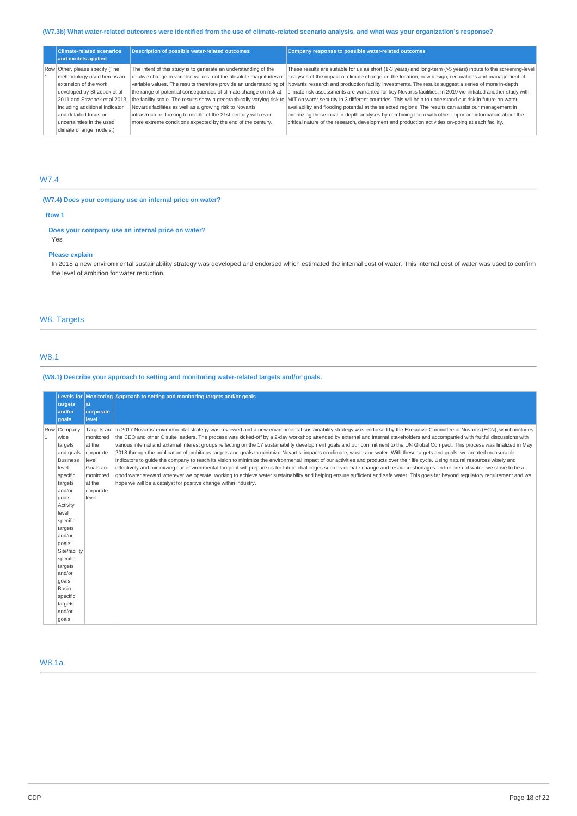# (W7.3b) What water-related outcomes were identified from the use of climate-related scenario analysis, and what was your organization's response?

| <b>Climate-related scenarios</b><br>and models applied | <b>Description of possible water-related outcomes</b>            | Company response to possible water-related outcomes                                                                                                                            |
|--------------------------------------------------------|------------------------------------------------------------------|--------------------------------------------------------------------------------------------------------------------------------------------------------------------------------|
| Row Other, please specify (The                         | The intent of this study is to generate an understanding of the  | These results are suitable for us as short (1-3 years) and long-term (>5 years) inputs to the screening-level                                                                  |
| methodology used here is an                            |                                                                  | relative change in variable values, not the absolute magnitudes of analyses of the impact of climate change on the location, new design, renovations and management of         |
| extension of the work                                  |                                                                  | variable values. The results therefore provide an understanding of Novartis research and production facility investments. The results suggest a series of more in-depth        |
| developed by Strzepek et al                            | the range of potential consequences of climate change on risk at | climate risk assessments are warranted for key Novartis facilities. In 2019 we initiated another study with                                                                    |
| 2011 and Strzepek et al 2013,                          |                                                                  | the facility scale. The results show a geographically varying risk to MIT on water security in 3 different countries. This will help to understand our risk in future on water |
| including additional indicator                         | Novartis facilities as well as a growing risk to Novartis        | availability and flooding potential at the selected regions. The results can assist our management in                                                                          |
| and detailed focus on                                  | infrastructure, looking to middle of the 21st century with even  | prioritizing these local in-depth analyses by combining them with other important information about the                                                                        |
| uncertainties in the used                              | more extreme conditions expected by the end of the century.      | critical nature of the research, development and production activities on-going at each facility.                                                                              |
| climate change models.)                                |                                                                  |                                                                                                                                                                                |

## W7.4

# **(W7.4) Does your company use an internal price on water?**

### **Row 1**

### **Does your company use an internal price on water?** Yes

# **Please explain**

In 2018 a new environmental sustainability strategy was developed and endorsed which estimated the internal cost of water. This internal cost of water was used to confirm the level of ambition for water reduction.

# W8. Targets

# W8.1

# **(W8.1) Describe your approach to setting and monitoring water-related targets and/or goals.**

|                                                                                                                                                                                                                                                                                       |                  | Levels for Monitoring Approach to setting and monitoring targets and/or goals                                                                                                                                                                                                                                                                                                                                                                                                                                                                                                                                                                                                                                                                                                                                                                                                                                                                                                                                                                                                                                                                                                                                                                                                                                                                                                         |
|---------------------------------------------------------------------------------------------------------------------------------------------------------------------------------------------------------------------------------------------------------------------------------------|------------------|---------------------------------------------------------------------------------------------------------------------------------------------------------------------------------------------------------------------------------------------------------------------------------------------------------------------------------------------------------------------------------------------------------------------------------------------------------------------------------------------------------------------------------------------------------------------------------------------------------------------------------------------------------------------------------------------------------------------------------------------------------------------------------------------------------------------------------------------------------------------------------------------------------------------------------------------------------------------------------------------------------------------------------------------------------------------------------------------------------------------------------------------------------------------------------------------------------------------------------------------------------------------------------------------------------------------------------------------------------------------------------------|
| targets                                                                                                                                                                                                                                                                               | at               |                                                                                                                                                                                                                                                                                                                                                                                                                                                                                                                                                                                                                                                                                                                                                                                                                                                                                                                                                                                                                                                                                                                                                                                                                                                                                                                                                                                       |
|                                                                                                                                                                                                                                                                                       |                  |                                                                                                                                                                                                                                                                                                                                                                                                                                                                                                                                                                                                                                                                                                                                                                                                                                                                                                                                                                                                                                                                                                                                                                                                                                                                                                                                                                                       |
| goals<br>Row Company-<br>wide<br>targets<br>and goals<br><b>Business</b><br>level<br>specific<br>targets<br>and/or<br>goals<br>Activity<br>level<br>specific<br>targets<br>and/or<br>goals<br>Site/facility<br>specific<br>targets<br>and/or<br>goals<br>Basin<br>specific<br>targets |                  | Targets are In 2017 Novartis' environmental strategy was reviewed and a new environmental sustainability strategy was endorsed by the Executive Committee of Novartis (ECN), which includes<br>the CEO and other C suite leaders. The process was kicked-off by a 2-day workshop attended by external and internal stakeholders and accompanied with fruitful discussions with<br>various internal and external interest groups reflecting on the 17 sustainability development goals and our commitment to the UN Global Compact. This process was finalized in May<br>2018 through the publication of ambitious targets and goals to minimize Novartis' impacts on climate, waste and water. With these targets and goals, we created measurable<br>indicators to quide the company to reach its vision to minimize the environmental impact of our activities and products over their life cycle. Using natural resources wisely and<br>effectively and minimizing our environmental footprint will prepare us for future challenges such as climate change and resource shortages. In the area of water, we strive to be a<br>good water steward wherever we operate, working to achieve water sustainability and helping ensure sufficient and safe water. This goes far beyond regulatory requirement and we<br>hope we will be a catalyst for positive change within industry. |
|                                                                                                                                                                                                                                                                                       | and/or<br>and/or | corporate<br>level<br>monitored<br>at the<br>corporate<br>level<br>Goals are<br>monitored<br>at the<br>corporate<br>level                                                                                                                                                                                                                                                                                                                                                                                                                                                                                                                                                                                                                                                                                                                                                                                                                                                                                                                                                                                                                                                                                                                                                                                                                                                             |

# W8.1a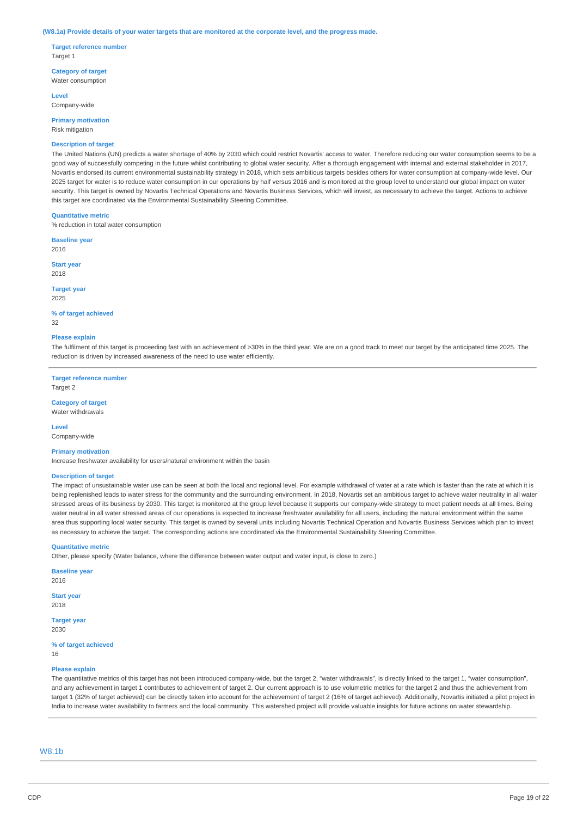#### (W8.1a) Provide details of your water targets that are monitored at the corporate level, and the progress made.

**Target reference number** Target 1

**Category of target** Water consumption

**Level** Company-wide

**Primary motivation** Risk mitigation

### **Description of target**

The United Nations (UN) predicts a water shortage of 40% by 2030 which could restrict Novartis' access to water. Therefore reducing our water consumption seems to be a good way of successfully competing in the future whilst contributing to global water security. After a thorough engagement with internal and external stakeholder in 2017, Novartis endorsed its current environmental sustainability strategy in 2018, which sets ambitious targets besides others for water consumption at company-wide level. Our 2025 target for water is to reduce water consumption in our operations by half versus 2016 and is monitored at the group level to understand our global impact on water security. This target is owned by Novartis Technical Operations and Novartis Business Services, which will invest, as necessary to achieve the target. Actions to achieve this target are coordinated via the Environmental Sustainability Steering Committee.

### **Quantitative metric**

% reduction in total water consumption

**Baseline year** 2016

**Start year** 2018

**Target year**

2025

**% of target achieved** 32

#### **Please explain**

The fulfilment of this target is proceeding fast with an achievement of >30% in the third year. We are on a good track to meet our target by the anticipated time 2025. The reduction is driven by increased awareness of the need to use water efficiently.

**Target reference number** Target 2

## **Category of target**

Water withdrawals

**Level**

# Company-wide

**Primary motivation**

Increase freshwater availability for users/natural environment within the basin

#### **Description of target**

The impact of unsustainable water use can be seen at both the local and regional level. For example withdrawal of water at a rate which is faster than the rate at which it is being replenished leads to water stress for the community and the surrounding environment. In 2018, Novartis set an ambitious target to achieve water neutrality in all water stressed areas of its business by 2030. This target is monitored at the group level because it supports our company-wide strategy to meet patient needs at all times. Being water neutral in all water stressed areas of our operations is expected to increase freshwater availability for all users, including the natural environment within the same area thus supporting local water security. This target is owned by several units including Novartis Technical Operation and Novartis Business Services which plan to invest as necessary to achieve the target. The corresponding actions are coordinated via the Environmental Sustainability Steering Committee.

### **Quantitative metric**

Other, please specify (Water balance, where the difference between water output and water input, is close to zero.)

**Baseline year** 2016

**Start year** 2018

## **Target year**

2030

**% of target achieved** 16

### **Please explain**

The quantitative metrics of this target has not been introduced company-wide, but the target 2, "water withdrawals", is directly linked to the target 1, "water consumption", and any achievement in target 1 contributes to achievement of target 2. Our current approach is to use volumetric metrics for the target 2 and thus the achievement from target 1 (32% of target achieved) can be directly taken into account for the achievement of target 2 (16% of target achieved). Additionally, Novartis initiated a pilot project in India to increase water availability to farmers and the local community. This watershed project will provide valuable insights for future actions on water stewardship.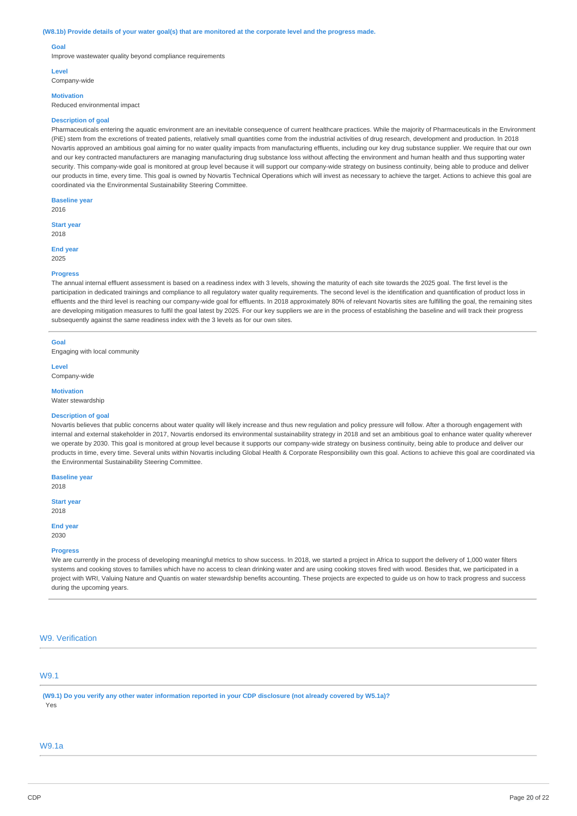#### (W8.1b) Provide details of your water goal(s) that are monitored at the corporate level and the progress made.

### **Goal**

Improve wastewater quality beyond compliance requirements

#### **Level**

Company-wide

# **Motivation**

Reduced environmental impact

#### **Description of goal**

Pharmaceuticals entering the aquatic environment are an inevitable consequence of current healthcare practices. While the majority of Pharmaceuticals in the Environment (PiE) stem from the excretions of treated patients, relatively small quantities come from the industrial activities of drug research, development and production. In 2018 Novartis approved an ambitious goal aiming for no water quality impacts from manufacturing effluents, including our key drug substance supplier. We require that our own and our key contracted manufacturers are managing manufacturing drug substance loss without affecting the environment and human health and thus supporting water security. This company-wide goal is monitored at group level because it will support our company-wide strategy on business continuity, being able to produce and deliver our products in time, every time. This goal is owned by Novartis Technical Operations which will invest as necessary to achieve the target. Actions to achieve this goal are coordinated via the Environmental Sustainability Steering Committee.

**Baseline year**

2016

**Start year** 2018

**End year** 2025

#### **Progress**

The annual internal effluent assessment is based on a readiness index with 3 levels, showing the maturity of each site towards the 2025 goal. The first level is the participation in dedicated trainings and compliance to all regulatory water quality requirements. The second level is the identification and quantification of product loss in effluents and the third level is reaching our company-wide goal for effluents. In 2018 approximately 80% of relevant Novartis sites are fulfilling the goal, the remaining sites are developing mitigation measures to fulfil the goal latest by 2025. For our key suppliers we are in the process of establishing the baseline and will track their progress subsequently against the same readiness index with the 3 levels as for our own sites.

# **Goal**

Engaging with local community

**Level** Company-wide

**Motivation**

Water stewardship

### **Description of goal**

Novartis believes that public concerns about water quality will likely increase and thus new requlation and policy pressure will follow. After a thorough engagement with internal and external stakeholder in 2017, Novartis endorsed its environmental sustainability strategy in 2018 and set an ambitious goal to enhance water quality wherever we operate by 2030. This goal is monitored at group level because it supports our company-wide strategy on business continuity, being able to produce and deliver our products in time, every time. Several units within Novartis including Global Health & Corporate Responsibility own this goal. Actions to achieve this goal are coordinated via the Environmental Sustainability Steering Committee.

**Baseline year**

2018

**Start year** 2018

**End year**

2030

### **Progress**

We are currently in the process of developing meaningful metrics to show success. In 2018, we started a project in Africa to support the delivery of 1,000 water filters systems and cooking stoves to families which have no access to clean drinking water and are using cooking stoves fired with wood. Besides that, we participated in a project with WRI, Valuing Nature and Quantis on water stewardship benefits accounting. These projects are expected to guide us on how to track progress and success during the upcoming years.

### W9. Verification

# W9.1

(W9.1) Do you verify any other water information reported in your CDP disclosure (not already covered by W5.1a)? Yes

### W9.1a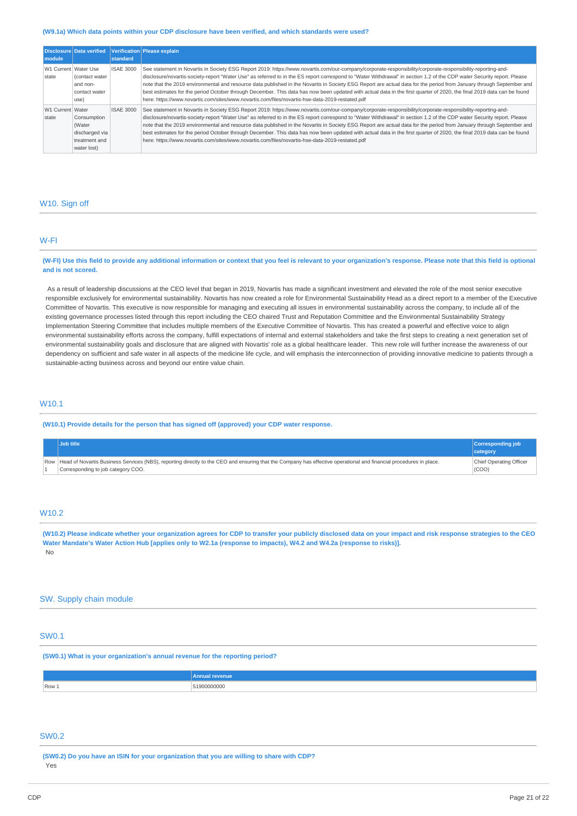#### **(W9.1a) Which data points within your CDP disclosure have been verified, and which standards were used?**

| module                        | Disclosure Data verified                                                | standard         | Verification Please explain                                                                                                                                                                                                                                                                                                                                                                                                                                                                                                                                                                                                                                                                                                                                                                 |
|-------------------------------|-------------------------------------------------------------------------|------------------|---------------------------------------------------------------------------------------------------------------------------------------------------------------------------------------------------------------------------------------------------------------------------------------------------------------------------------------------------------------------------------------------------------------------------------------------------------------------------------------------------------------------------------------------------------------------------------------------------------------------------------------------------------------------------------------------------------------------------------------------------------------------------------------------|
| W1 Current Water Use<br>state | Contact water<br>and non-<br>contact water<br>use)                      | <b>ISAE 3000</b> | See statement in Novartis in Society ESG Report 2019: https://www.novartis.com/our-company/corporate-responsibility/corporate-responsibility-reporting-and-<br>disclosure/novartis-society-report "Water Use" as referred to in the ES report correspond to "Water Withdrawal" in section 1.2 of the CDP water Security report. Please<br>note that the 2019 environmental and resource data published in the Novartis in Society ESG Report are actual data for the period from January through September and<br>best estimates for the period October through December. This data has now been updated with actual data in the first quarter of 2020, the final 2019 data can be found<br>here: https://www.novartis.com/sites/www.novartis.com/files/novartis-hse-data-2019-restated.pdf |
| W1 Current Water<br>state     | Consumption<br>(Water<br>discharged via<br>treatment and<br>water lost) | <b>ISAE 3000</b> | See statement in Novartis in Society ESG Report 2019: https://www.novartis.com/our-company/corporate-responsibility/corporate-responsibility-reporting-and-<br>disclosure/novartis-society-report "Water Use" as referred to in the ES report correspond to "Water Withdrawal" in section 1.2 of the CDP water Security report. Please<br>note that the 2019 environmental and resource data published in the Novartis in Society ESG Report are actual data for the period from January through September and<br>best estimates for the period October through December. This data has now been updated with actual data in the first quarter of 2020, the final 2019 data can be found<br>here: https://www.novartis.com/sites/www.novartis.com/files/novartis-hse-data-2019-restated.pdf |

### W10. Sign off

# W-FI

(W-FI) Use this field to provide any additional information or context that you feel is relevant to your organization's response. Please note that this field is optional **and is not scored.**

As a result of leadership discussions at the CEO level that began in 2019, Novartis has made a significant investment and elevated the role of the most senior executive responsible exclusively for environmental sustainability. Novartis has now created a role for Environmental Sustainability Head as a direct report to a member of the Executive Committee of Novartis. This executive is now responsible for managing and executing all issues in environmental sustainability across the company, to include all of the existing governance processes listed through this report including the CEO chaired Trust and Reputation Committee and the Environmental Sustainability Strategy Implementation Steering Committee that includes multiple members of the Executive Committee of Novartis. This has created a powerful and effective voice to align environmental sustainability efforts across the company, fulfill expectations of internal and external stakeholders and take the first steps to creating a next generation set of environmental sustainability goals and disclosure that are aligned with Novartis' role as a global healthcare leader. This new role will further increase the awareness of our dependency on sufficient and safe water in all aspects of the medicine life cycle, and will emphasis the interconnection of providing innovative medicine to patients through a sustainable-acting business across and beyond our entire value chain.

## W10.1

**(W10.1) Provide details for the person that has signed off (approved) your CDP water response.**

|                                                                                                                                                                         | Corresponding job<br>category |       |
|-------------------------------------------------------------------------------------------------------------------------------------------------------------------------|-------------------------------|-------|
| Row  Head of Novartis Business Services (NBS), reporting directly to the CEO and ensuring that the Company has effective operational and financial procedures in place. | Chief Operating Officer       |       |
|                                                                                                                                                                         |                               | (COO) |

## W10.2

(W10.2) Please indicate whether your organization agrees for CDP to transfer your publicly disclosed data on your impact and risk response strategies to the CEO Water Mandate's Water Action Hub [applies only to W2.1a (response to impacts), W4.2 and W4.2a (response to risks)]. No

### SW. Supply chain module

## SW0.1

**(SW0.1) What is your organization's annual revenue for the reporting period?**

|       | Annual<br>nue |
|-------|---------------|
| Row 1 | 51900000000   |

### SW<sub>0.2</sub>

**(SW0.2) Do you have an ISIN for your organization that you are willing to share with CDP?** Yes